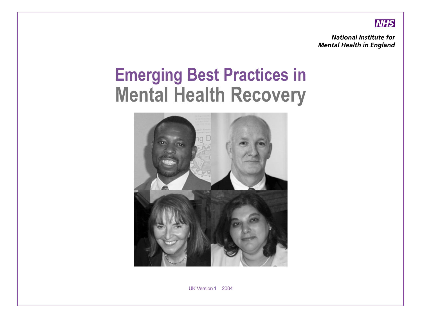

**National Institute for Mental Health in England** 

# **Emerging Best Practices in Mental Health Recovery**



UK Version 1 2004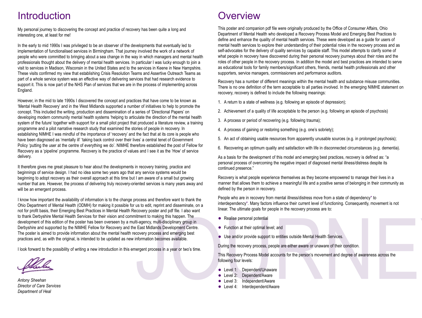## **Introduction**

My personal journey to discovering the concept and practice of recovery has been quite a long and interesting one, at least for me!

In the early to mid 1990s I was privileged to be an observer of the developments that eventually led to implementation of functionalised services in Birmingham. That journey involved the work of a network of people who were committed to bringing about a sea change in the way in which managers and mental health professionals thought about the delivery of mental health services. In particular I was lucky enough to join a visit to services in Madison, Wisconsin in the United States and to the services in Keene in New Hampshire. These visits confirmed my view that establishing Crisis Resolution Teams and Assertive Outreach Teams as part of a whole service system was an effective way of delivering services that had research evidence to support it. This is now part of the NHS Plan of services that we are in the process of implementing across England.

However, in the mid to late 1990s I discovered the concept and practices that have come to be known as 'Mental Health Recovery' and in the West Midlands supported a number of initiatives to help to promote the concept. This included the writing, production and dissemination of a series of 'Directional Papers' on developing modern community mental health systems 'helping to articulate the direction of the mental health system of the future' together with support for a small pilot project that produced a literature review, a training programme and a pilot narrative research study that examined the stories of people in recovery. In establishing NIMHE I was mindful of the importance of 'recovery' and the fact that at its core is people who have been diagnosed as 'mentally ill' 'taking back control over their lives' a central tenet of Government Policy 'putting the user at the centre of everything we do'. NIMHE therefore established the post of Fellow for Recovery as a 'pipeline' programme. Recovery is the practice of values and I see it as the 'How' of service delivery.

It therefore gives me great pleasure to hear about the developments in recovery training, practice and beginnings of service design. I had no idea some two years ago that any service systems would be beginning to adopt recovery as their overall approach at this time but I am aware of a small but growing number that are. However, the process of delivering truly recovery-oriented services is many years away and will be an emergent process.

of the mathematic making this happen. The<br>
East Midlands Development Centre.<br>
East Midlands Development Centre.<br>
Function at their optimal level; and<br>
Function at their optimal level; and<br>
covery process and emerging best<br> I know how important the availability of information is to the change process and therefore want to thank the Ohio Department of Mental Health (ODMH) for making it possible for us to edit, reprint and disseminate, on a not for profit basis, their Emerging Best Practices in Mental Health Recovery poster and pdf file. I also want to thank Derbyshire Mental Health Services for their vision and commitment to making this happen. The development of this edition of the poster has been overseen by a multi-agency, multi-disciplinary group in Derbyshire and supported by the NIMHE Fellow for Recovery and the East Midlands Development Centre. The poster is aimed to provide information about the mental health recovery process and emerging best practices and, as with the original, is intended to be updated as new information becomes available.

I look forward to the possibility of writing a new introduction in this emergent process in a year or two's time.

*Antony Sheehan Director of Care Services Department of Heal*

## **Overview**

This poster and companion pdf file were originally produced by the Office of Consumer Affairs, Ohio Department of Mental Health who developed a Recovery Process Model and Emerging Best Practices to define and enhance the quality of mental health services. These were developed as a guide for users of mental health services to explore their understanding of their potential roles in the recovery process and as self-advocates for the delivery of quality services by capable staff. This model attempts to clarify some of what people in recovery have discovered during their personal recovery journeys about their roles and the roles of other people in the recovery process. In addition the model and best practices are intended to serve as educational tools for family members/significant others, friends, mental health professionals and other supporters, service managers, commissioners and performance auditors.

Recovery has a number of different meanings within the mental health and substance misuse communities. There is no one definition of the term acceptable to all parties involved. In the emerging NIMHE statement on recovery, recovery is defined to include the following meanings:

- 1. A return to a state of wellness (e.g. following an episode of depression);
- 2. Achievement of a quality of life acceptable to the person (e.g. following an episode of psychosis)
- 3. A process or period of recovering (e.g. following trauma);
- 4. A process of gaining or restoring something (e.g. one's sobriety);
- 5. An act of obtaining usable resources from apparently unusable sources (e.g. in prolonged psychosis);
- 6. Recovering an optimum quality and satisfaction with life in disconnected circumstances (e.g. dementia).

As a basis for the development of this model and emerging best practices, recovery is defined as: "a personal process of overcoming the negative impact of diagnosed mental illness/distress despite its continued presence."

Recovery is what people experience themselves as they become empowered to manage their lives in a manner that allows them to achieve a meaningful life and a positive sense of belonging in their community as defined by the person in recovery.

People who are in recovery from mental illness/distress move from a state of dependency\* to interdependency\*. Many factors influence their current level of functioning. Consequently, movement is not linear. The ultimate goals for people in the recovery process are to:

- Realise personal potential
- Function at their optimal level; and
- Use and/or provide support to entities outside Mental Health Services.

During the recovery process, people are either aware or unaware of their condition.

This Recovery Process Model accounts for the person's movement and degree of awareness across the following four levels:

- Level 1: Dependent/Unaware
- Level 2: Dependent/Aware
- Level 3: Independent/Aware
- Level 4: Interdependent/Aware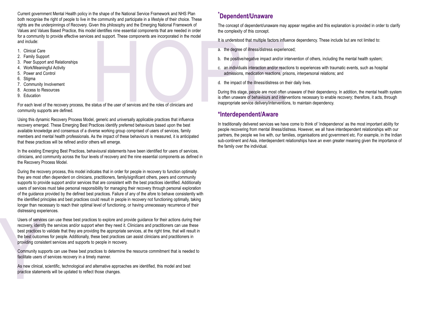Current government Mental Health policy in the shape of the National Service Framework and NHS Plan both recognise the right of people to live in the community and participate in a lifestyle of their choice. These rights are the underpinnings of Recovery. Given this philosophy and the Emerging National Framework of Values and Values Based Practice, this model identifies nine essential components that are needed in order for a community to provide effective services and support. These components are incorporated in the model and include:

- 1. Clinical Care
- 2. Family Support
- 3. Peer Support and Relationships
- 4. Work/Meaningful Activity
- 5. Power and Control
- 6. Stigma
- 7. Community Involvement
- 8. Access to Resources
- 9. Education

For each level of the recovery process, the status of the user of services and the roles of clinicians and community supports are defined.

Using this dynamic Recovery Process Model, generic and universally applicable practices that influence recovery emerged. These Emerging Best Practices identify preferred behaviours based upon the best available knowledge and consensus of a diverse working group comprised of users of services, family members and mental health professionals. As the impact of these behaviours is measured, it is anticipated that these practices will be refined and/or others will emerge.

In the existing Emerging Best Practices, behavioural statements have been identified for users of services, clinicians, and community across the four levels of recovery and the nine essential components as defined in the Recovery Process Model.

During the recovery process, this model indicates that in order for people in recovery to function optimally they are most often dependent on clinicians, practitioners, family/significant others, peers and community supports to provide support and/or services that are consistent with the best practices identified. Additionally users of services must take personal responsibility for managing their recovery through personal exploration of the guidance provided by the defined best practices. Failure of any of the afore to behave consistently with the identified principles and best practices could result in people in recovery not functioning optimally, taking longer than necessary to reach their optimal level of functioning, or having unnecessary recurrence of their distressing experiences.

Users of service<br>recovery, identif<br>best practices to<br>the best outcom<br>providing consis<br>Community sup<br>facilitate users of<br>As new clinical,<br>practice statement Users of services can use these best practices to explore and provide guidance for their actions during their recovery, identify the services and/or support when they need it. Clinicians and practitioners can use these best practices to validate that they are providing the appropriate services, at the right time, that will result in the best outcomes for people. Additionally, these best practices can assist clinicians and practitioners in providing consistent services and supports to people in recovery.

Community supports can use these best practices to determine the resource commitment that is needed to facilitate users of services recovery in a timely manner.

As new clinical, scientific, technological and alternative approaches are identified, this model and best practice statements will be updated to reflect those changes.

#### **\* Dependent/Unaware**

The concept of dependent/unaware may appear negative and this explanation is provided in order to clarify the complexity of this concept.

It is understood that multiple factors influence dependency. These include but are not limited to:

- a. the degree of illness/distress experienced;
- b. the positive/negative impact and/or intervention of others, including the mental health system;
- c. an individuals interaction and/or reactions to experiences with traumatic events, such as hospital admissions, medication reactions, prisons, interpersonal relations; and
- d. the impact of the illness/distress on their daily lives.

a. the degree of illness/distress experiences and support. These components are incorporated in the intoetical<br>
a. the degree of illness/distress experience<br>
b. the positive/negative impact and/or reaction<br>
c. an individua During this stage, people are most often unaware of their dependency. In addition, the mental health system is often unaware of behaviours and interventions necessary to enable recovery; therefore, it acts, through inappropriate service delivery/interventions, to maintain dependency.

#### **\*Interdependent/Aware**

In traditionally delivered services we have come to think of 'independence' as the most important ability for people recovering from mental illness/distress. However, we all have interdependent relationships with our partners, the people we live with, our families, organisations and government etc. For example, in the Indian sub-continent and Asia, interdependent relationships have an even greater meaning given the importance of the family over the individual.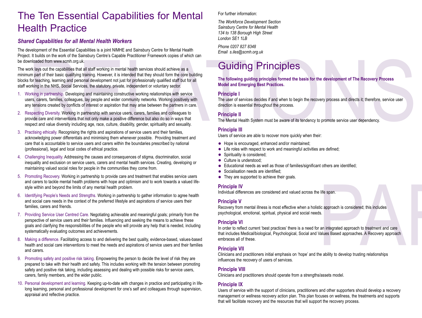## The Ten Essential Capabilities for Mental Health Practice

#### *Shared Capabilities for all Mental Health Workers*

The development of the Essential Capabilities is a joint NIMHE and Sainsbury Centre for Mental Health Project. It builds on the work of the Sainsbury Centre's Capable Practitioner Framework copies of which can be downloaded from www.scmh.org.uk.

Let a would be a structure be and the transformation in the substantial members of which then<br>impact of their basic cultivarial start working in mental health services should achieve as a<br>for teaching, learning and persona The work lays out the capabilities that all staff working in mental health services should achieve as a minimum part of their basic qualifying training. However, it is intended that they should form the core building blocks for teaching, learning and personal development not just for professionally qualified staff but for all staff working in the NHS, Social Services, the statutory, private, independent or voluntary sector.

- 1. Working in partnership. Developing and maintaining constructive working relationships with service users, carers, families, colleagues, lay people and wider community networks. Working positively with any tensions created by conflicts of interest or aspiration that may arise between the partners in care.
- 2. Respecting Diversity. Working in partnership with service users, carers, families and colleagues to provide care and interventions that not only make a positive difference but also do so in ways that respect and value diversity including age, race, culture, disability, gender, spirituality and sexuality.
- 3. Practising ethically. Recognising the rights and aspirations of service users and their families, acknowledging power differentials and minimising them whenever possible. Providing treatment and care that is accountable to service users and carers within the boundaries prescribed by national (professional), legal and local codes of ethical practice.
- 4. Challenging Inequality. Addressing the causes and consequences of stigma, discrimination, social inequality and exclusion on service users, carers and mental health services. Creating, developing or maintaining valued social roles for people in the communities they come from.
- 5. Promoting Recovery. Working in partnership to provide care and treatment that enables service users and carers to tackle mental health problems with hope and optimism and to work towards a valued lifestyle within and beyond the limits of any mental health problem.
- 6. Identifying People's Needs and Strengths. Working in partnership to gather information to agree health and social care needs in the context of the preferred lifestyle and aspirations of service users their families, carers and friends.
- 7. Providing Service User Centred Care. Negotiating achievable and meaningful goals; primarily from the perspective of service users and their families. Influencing and seeking the means to achieve these goals and clarifying the responsibilities of the people who will provide any help that is needed, including systematically evaluating outcomes and achievements.
- 8. Making a difference. Facilitating access to and delivering the best quality, evidence-based, values-based health and social care interventions to meet the needs and aspirations of service users and their families and carers.
- 9. Promoting safety and positive risk taking. Empowering the person to decide the level of risk they are prepared to take with their health and safety. This includes working with the tension between promoting safety and positive risk taking, including assessing and dealing with possible risks for service users, carers, family members, and the wider public.
- 10. Personal development and learning. Keeping up-to-date with changes in practice and participating in lifelong learning, personal and professional development for one's self and colleagues through supervision, appraisal and reflective practice.

#### For further information:

*The Workforce Development Section Sainsbury Centre for Mental Health 134 to 138 Borough High Street London SE1 1LB*

*Phone 0207 827 8348 Email s.iles@scmh.org.uk*

## Guiding Principles

**The following guiding principles formed the basis for the development of The Recovery Process Model and Emerging Best Practices.**

#### **Principle I**

The user of services decides if and when to begin the recovery process and directs it; therefore, service user direction is essential throughout the process.

#### **Principle II**

The Mental Health System must be aware of its tendency to promote service user dependency.

#### **Principle III**

Users of service are able to recover more quickly when their:

- Hope is encouraged, enhanced and/or maintained;
- Life roles with respect to work and meaningful activities are defined;
- Spirituality is considered;
- Culture is understood:
- Educational needs as well as those of families/significant others are identified;
- Socialisation needs are identified;
- They are supported to achieve their goals.

#### **Principle IV**

Individual differences are considered and valued across the life span.

#### **Principle V**

Recovery from mental illness is most effective when a holistic approach is considered; this includes psychological, emotional, spiritual, physical and social needs.

#### **Principle VI**

Filie span.<br>
Expressed is considered; this includes<br>
S.<br>
A an integrated approach to treatment and care<br>
Values Based approaches. A Recovery approach<br>
Ne ability to develop trusting relationships In order to reflect current 'best practices' there is a need for an integrated approach to treatment and care that includes Medical/biological, Psychological, Social and Values Based approaches. A Recovery approach embraces all of these.

#### **Principle VII**

Clinicians and practitioners initial emphasis on 'hope' and the ability to develop trusting relationships influences the recovery of users of services.

#### **Principle VIII**

Clinicians and practitioners should operate from a strengths/assets model.

#### **Principle IX**

Users of service with the support of clinicians, practitioners and other supporters should develop a recovery management or wellness recovery action plan. This plan focuses on wellness, the treatments and supports that will facilitate recovery and the resources that will support the recovery process.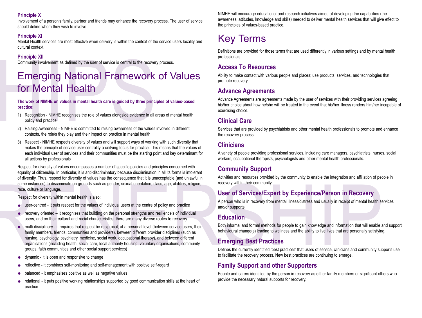#### **Principle X**

Involvement of a person's family, partner and friends may enhance the recovery process. The user of service should define whom they wish to involve.

#### **Principle XI**

Mental Health services are most effective when delivery is within the context of the service users locality and cultural context.

#### **Principle XII**

Community involvement as defined by the user of service is central to the recovery process.

# Principle XII<br>
Community involvement as defined by the user of service is central to the recover<br>
Emerging National Framework<br>
for Mental Health<br>
The work of NIMHE on values in mental health care is guided by three princi<br> Emerging National Framework of Values for Mental Health

#### **The work of NIMHE on values in mental health care is guided by three principles of values-based practice:**

- 1) Recognition NIMHE recognises the role of values alongside evidence in all areas of mental health policy and practice
- 2) Raising Awareness NIMHE is committed to raising awareness of the values involved in different contexts, the role/s they play and their impact on practice in mental health
- 3) Respect NIMHE respects diversity of values and will support ways of working with such diversity that makes the principle of service user-centrality a unifying focus for practice. This means that the values of each individual user of services and their communities must be the starting point and key determinant for all actions by professionals

Respect for diversity of values encompasses a number of specific policies and principles concerned with equality of citizenship. In particular, it is anti-discriminatory because discrimination in all its forms is intolerant of diversity. Thus, respect for diversity of values has the consequence that it is unacceptable (and unlawful in some instances) to discriminate on grounds such as gender, sexual orientation, class, age, abilities, religion, race, culture or language.

Respect for diversity within mental health is also:

- user-centred it puts respect for the values of individual users at the centre of policy and practice
- recovery oriented it recognises that building on the personal strengths and resilience's of individual users, and on their cultural and racial characteristics, there are many diverse routes to recovery
- some instances) to discriminate on grounds such as gender, sexual orientation, class, age, abilities, religion,<br>
Respect for diversity within mental health is also:<br>
Respect for diversity within mental health is also:<br>
ex multi-disciplinary - it requires that respect be reciprocal, at a personal level (between service users, their family members, friends, communities and providers), between different provider disciplines (such as nursing, psychology, psychiatry, medicine, social work, occupational therapy), and between different organisations (including health, social care, local authority housing, voluntary organisations, community groups, faith communities and other social support services)
	- dynamic it is open and responsive to change
	- reflective it combines self-monitoring and self-management with positive self-regard
	- balanced it emphasises positive as well as negative values  $\bullet$
	- relational it puts positive working relationships supported by good communication skills at the heart of  $\bullet$ practice

NIMHE will encourage educational and research initiatives aimed at developing the capabilities (the awareness, attitudes, knowledge and skills) needed to deliver mental health services that will give effect to the principles of values-based practice.

# Key Terms

Definitions are provided for those terms that are used differently in various settings and by mental health professionals.

#### **Access To Resources**

Ability to make contact with various people and places; use products, services, and technologies that promote recovery.

#### **Advance Agreements**

Advance Agreements are agreements made by the user of services with their providing services agreeing his/her choice about how he/she will be treated in the event that his/her illness renders him/her incapable of exercising choice.

#### **Clinical Care**

Services that are provided by psychiatrists and other mental health professionals to promote and enhance the recovery process.

#### **Clinicians**

A variety of people providing professional services, including care managers, psychiatrists, nurses, social workers, occupational therapists, psychologists and other mental health professionals.

#### **Community Support**

Activities and resources provided by the community to enable the integration and affiliation of people in recovery within their community.

#### **User of Services/Expert by Experience/Person in Recovery**

A person who is in recovery from mental illness/distress and usually in receipt of mental health services and/or supports.

#### **Education**

Both informal and formal methods for people to gain knowledge and information that will enable and support behavioural change(s) leading to wellness and the ability to live lives that are personally satisfying.

#### **Emerging Best Practices**

Defines the currently identified 'best practices' that users of service, clinicians and community supports use to facilitate the recovery process. New best practices are continuing to emerge.

#### **Family Support and other Supporters**

People and carers identified by the person in recovery as either family members or significant others who provide the necessary natural supports for recovery.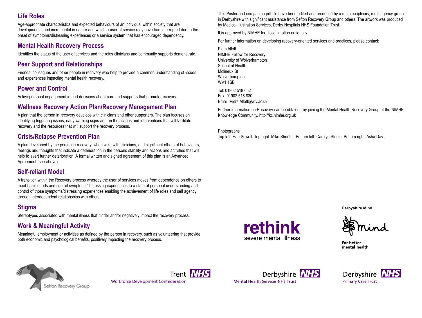#### **Life Roles**

Age-appropriate characteristics and expected behaviours of an individual within society that are developmental and incremental in nature and which a user of service may have had interrupted due to the onset of symptoms/distressing experiences or a service system that has encouraged dependency.

#### **Mental Health Recovery Process**

Identifies the status of the user of services and the roles clinicians and community supports demonstrate.

#### **Peer Support and Relationships**

Friends, colleagues and other people in recovery who help to provide a common understanding of issues and experiences impacting mental health recovery.

#### **Power and Control**

Active personal engagement in and decisions about care and supports that promote recovery.

#### **Wellness Recovery Action Plan/Recovery Management Plan**

A plan that the person in recovery develops with clinicians and other supporters. The plan focuses on identifying triggering issues, early warning signs and on the actions and interventions that will facilitate recovery and the resources that will support the recovery process.

#### **Crisis/Relapse Prevention Plan**

A plan developed by the person in recovery, when well, with clinicians, and significant others of behaviours, feelings and thoughts that indicate a deterioration in the persons stability and actions and activities that will help to avert further deterioration. A formal written and signed agreement of this plan is an Advanced Agreement (see above).

#### **Self-reliant Model**

A transition within the Recovery process whereby the user of services moves from dependence on others to meet basic needs and control symptoms/distressing experiences to a state of personal understanding and control of those symptoms/distressing experiences enabling the achievement of life roles and self agency through interdependent relationships with others.

#### **Stigma**

Stereotypes associated with mental illness that hinder and/or negatively impact the recovery process.

#### **Work & Meaningful Activity**

Meaningful employment or activities as defined by the person in recovery, such as volunteering that provide both economic and psychological benefits, positively impacting the recovery process.

efton Recovery Group

Trent Workforce Development Confederation

This Poster and companion pdf file have been edited and produced by a multidisciplinary, multi-agency group in Derbyshire with significant assistance from Sefton Recovery Group and others. The artwork was produced by Medical Illustration Services, Derby Hospitals NHS Foundation Trust.

It is approved by NIMHE for dissemination nationally.

For further information on developing recovery-oriented services and practices, please contact:

Piers Allott NIMHE Fellow for Recovery University of Wolverhampton School of Health Molineux St **Wolverhampton** WV1 1SB Tel: 01902 518 652

Fax: 01902 518 880 Email: Piers.Allott@wlv.ac.uk

Further information on Recovery can be obtained by joining the Mental Health Recovery Group at the NIMHE Knowledge Community. http;//kc.nimhe.org.uk

#### **Photographs**

Top left: Hari Sewell. Top right: Mike Shooter. Bottom left: Carolyn Steele. Bottom right: Asha Day.

**Derbyshire Mind**

For better mental health



rethink

severe mental illness

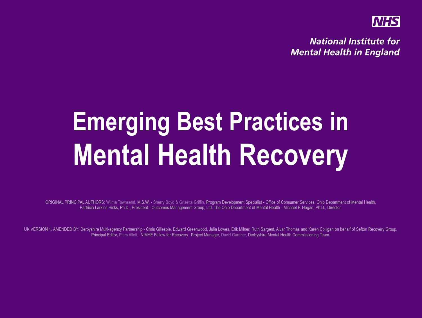

**National Institute for Mental Health in England** 

# **Emerging Best Practices in Mental Health Recovery**

ORIGINAL PRINCIPAL AUTHORS: Wilma Townsend, M.S.W. - Sherry Boyd & Grisetta Griffin, Program Development Specialist - Office of Consumer Services, Ohio Department of Mental Health. Partricia Larkins Hicks, Ph.D., President - Outcomes Management Group, Ltd. The Ohio Department of Mental Health - Michael F. Hogan, Ph.D., Director.

UK VERSION 1. AMENDED BY: Derbyshire Multi-agency Partnership - Chris Gillespie, Edward Greenwood, Julia Lowes, Erik Milner, Ruth Sargent, Alvar Thomas and Karen Colligan on behalf of Sefton Recovery Group. Principal Editor, Piers Allott, NIMHE Fellow for Recovery. Project Manager, David Gardner, Derbyshire Mental Health Commissioning Team.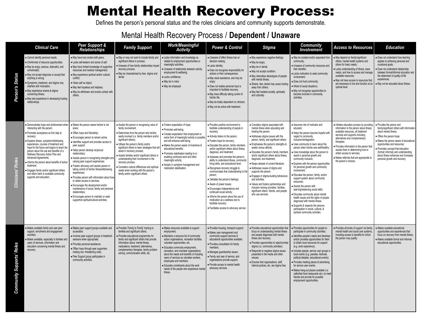Defines the person's personal status and the roles clinicians and community supports demonstrate.

## Mental Health Recovery Process / **Dependent / Unaware**

|                                  | <b>Clinical Care</b>                                                                                                                                                                                                                                                                                                                                                                                                                                                                                                                                         | <b>Peer Support &amp;</b><br><b>Relationships</b>                                                                                                                                                                                                                                                                                                                                                                                                                                                                                                                                                                                                                                                                                      | <b>Family Support</b>                                                                                                                                                                                                                                                                                                                                                                                                                                                                                                                                             | <b>Work/Meaningful</b><br><b>Activity</b>                                                                                                                                                                                                                                                                                                                                                                                                                                                 | <b>Power &amp; Control</b>                                                                                                                                                                                                                                                                                                                                                                                                                                                                                                                                                                                                                                                                                                                                                       | <b>Stigma</b>                                                                                                                                                                                                                                                                                                                                                                                                                                                                                                                                                                                                                                                                         | <b>Community</b><br><b>Involvement</b>                                                                                                                                                                                                                                                                                                                                                                                                                                                                                                                                                                                                                                                                                                                                                                                | <b>Access to Resources</b>                                                                                                                                                                                                                                                                                                                                                                           | <b>Education</b>                                                                                                                                                                                                                                                                                                                                             |
|----------------------------------|--------------------------------------------------------------------------------------------------------------------------------------------------------------------------------------------------------------------------------------------------------------------------------------------------------------------------------------------------------------------------------------------------------------------------------------------------------------------------------------------------------------------------------------------------------------|----------------------------------------------------------------------------------------------------------------------------------------------------------------------------------------------------------------------------------------------------------------------------------------------------------------------------------------------------------------------------------------------------------------------------------------------------------------------------------------------------------------------------------------------------------------------------------------------------------------------------------------------------------------------------------------------------------------------------------------|-------------------------------------------------------------------------------------------------------------------------------------------------------------------------------------------------------------------------------------------------------------------------------------------------------------------------------------------------------------------------------------------------------------------------------------------------------------------------------------------------------------------------------------------------------------------|-------------------------------------------------------------------------------------------------------------------------------------------------------------------------------------------------------------------------------------------------------------------------------------------------------------------------------------------------------------------------------------------------------------------------------------------------------------------------------------------|----------------------------------------------------------------------------------------------------------------------------------------------------------------------------------------------------------------------------------------------------------------------------------------------------------------------------------------------------------------------------------------------------------------------------------------------------------------------------------------------------------------------------------------------------------------------------------------------------------------------------------------------------------------------------------------------------------------------------------------------------------------------------------|---------------------------------------------------------------------------------------------------------------------------------------------------------------------------------------------------------------------------------------------------------------------------------------------------------------------------------------------------------------------------------------------------------------------------------------------------------------------------------------------------------------------------------------------------------------------------------------------------------------------------------------------------------------------------------------|-----------------------------------------------------------------------------------------------------------------------------------------------------------------------------------------------------------------------------------------------------------------------------------------------------------------------------------------------------------------------------------------------------------------------------------------------------------------------------------------------------------------------------------------------------------------------------------------------------------------------------------------------------------------------------------------------------------------------------------------------------------------------------------------------------------------------|------------------------------------------------------------------------------------------------------------------------------------------------------------------------------------------------------------------------------------------------------------------------------------------------------------------------------------------------------------------------------------------------------|--------------------------------------------------------------------------------------------------------------------------------------------------------------------------------------------------------------------------------------------------------------------------------------------------------------------------------------------------------------|
| Person's Status                  | · Cannot identify personal needs;<br>• Uninformed of resource opportunities;<br>• May be angry, anxious, distrustful, and<br>unmotivated:<br>• May not accept diagnosis or accept that<br>anything is wrong;<br>· Symptoms, treatment, and stigma may<br>interfere with motivation:<br>• May experience shame & stigma<br>concerning illness;<br>· May lack experience in developing trusting<br>relationships.                                                                                                                                              | • May have lost contact with peers;<br>· Lacks self-esteem and sense of self;<br>· May have limited knowledge of supportive<br>resources and medical management;<br>• May experience spiritual and/or cultural<br>conflict:<br>· Views self as object:<br>• May feel hopeless and helpless;<br>. May be withdrawn and avoids contact with<br>others.                                                                                                                                                                                                                                                                                                                                                                                   | • May or may not want to include family and<br>significant others in process;<br>• Unaware of how family relationships impact<br>recovery process;<br>· May be characterised by fear, stigma and<br>denial.                                                                                                                                                                                                                                                                                                                                                       | • Lacks information and knowledge as<br>related to employment opportunities or<br>meaningful activities;<br>• Unaware of relationship between activity,<br>employment & wellbeing;<br>• Lacks confidence:<br>• May be in crisis;<br>• May be employed.                                                                                                                                                                                                                                    | • Unaware of effect illness has on<br>decision making;<br>Lacks identity;<br>Does not recognise responsibility for<br>actions or their consequences;<br>• May resist assistance, and may be<br>angry;<br>Does not realise personal input is<br>important to facilitate recovery;<br>. May have difficulty taking control of<br>his/her life:<br>• May be totally dependent on clinician;<br>• May not be active with treatment.                                                                                                                                                                                                                                                                                                                                                  | • May experience negative feelings;<br>• May be angry;<br>• May be in denial;<br>· May not accept condition;<br>• May internalise stereotypes of people<br>with mental illness:<br>Shame, fear, denial may cause looking<br>away from others;<br>· May feel isolated socially, spiritually<br>and culturally.                                                                                                                                                                                                                                                                                                                                                                         | • May be isolated and/or separated from<br>community:<br>· Unaware of community resources and<br>their benefits:<br>• Lacks motivation to seek community<br>involvement:<br>• Does not trust community;<br>• Afraid of social situations:<br>• May not recognise opportunities to<br>become involved in community<br>activities.                                                                                                                                                                                                                                                                                                                                                                                                                                                                                      | • May depend on family/significant<br>others, mental health systems and<br>others for basic needs:<br>• Lacks understanding of illness, basic<br>needs, and how to access and manage<br>available resources:<br>• May not have access to resources that<br>are necessary to live and function at an<br>optimal level.                                                                                | • Does not understand how learning<br>applies to achieving personal and<br>vocational goals;<br>Does not understand relationship<br>between formal/informal education and<br>the attainment of quality-of-life<br>experiences;<br>. May not be educated about illness.                                                                                       |
| Clinicians' Roles                | · Demonstrates hope and achievement when<br>interacting with the person;<br>• Promotes acceptance as first step to<br>recovery;<br>• Explains illness, symptoms/distressing<br>experiences, courses of treatment and<br>hope for the future and begins to teach the<br>person about the use and benefits of a<br>Wellness Recovery Action Plan and<br>Advanced Agreements;<br>• Informs the person about benefits of active<br>treatment:<br>• Engages family and/or significant others<br>and refers them to available community<br>supports and education. | Makes the person aware he/she is not<br>alone;<br>• Offers hope and friendship;<br>· Encourages person to remain active;<br>· Identifies support and provides access to<br>peer support;<br>· Helps person develop reciprocal<br>relationships;<br>• Assists person in recognising strengths and<br>valuing peer support experiences;<br>• Fosters advocacy and assists person in<br>taking control of his/her illness/distressing<br>experiences;<br>· Provides person with information about how<br>to obtain access to services:<br>• Encourages the development and/or<br>maintenance of social, family and persona<br>relationships;<br><b>Encourages person to maintain or seek</b><br>supportive spiritual/cultural activities. | • Assists the person in recognising value of<br>family involvement;<br>• Determines from the person who he/she<br>wants involved (i.e. family members and/or<br>significant others);<br>. Utilises the person's family and/or<br>significant others to learn strategies that will<br>assist in recovery process;<br>· Assists families and/or significant others in<br>understanding their involvement in the<br>recovery process;<br>• Considers cultural differences and spiritual<br>needs when working with the person's<br>family and/or significant others. | · Fosters expectation of hope;<br>· Promotes well-being;<br>• Creates expectation that employment or<br>some form of meaningful activity is possible<br>and will enhance well-being;<br>• Makes the person aware of incentives &<br>educational benefits:<br>· Promotes stabilisation leading to or<br>enabling continued work and other<br>meaningful activity;<br>· Assists in symptom management and<br>medication stabilisation.                                                      | · Provides positive environment to<br>facilitate understanding of people in<br>recovery;<br>Actively listens to the person;<br>• Fosters hope for recovery;<br>· Educates the person, family members<br>and/or significant others about illness,<br>diagnosis, and treatment;<br>Assesses and promotes the person's<br>ability to understand illness, community<br>living skills, and educational level;<br>Recognises recovery struggle &<br>communicates that understanding to the<br>person;<br>• Validates the person's feelings;<br>• Aware of power issues:<br>• Encourages independence and<br>continued social activity;<br>Informs the person about the use of<br>medication as a wellness tool to<br>facilitate recovery;<br>· Facilitates access to advocacy service. | · Considers stigma associated with<br>mental illness when educating and<br>treating the person;<br>Addresses stigma issues with the<br>person, family, and significant others;<br>· Emphasises the person's strengths &<br>assets versus deficits:<br>Educates the person's family members<br>and/or significant others about illness.<br>diagnosis, and treatment;<br>• Keeps abreast of current literature;<br>• Addresses issues of stigma and<br>supports the person;<br>• Engages in stigma-busting behaviours<br>and activities:<br>Values and fosters partnerships and<br>inclusion among providers, families,<br>significant others, friends, and people<br>who use services. | • Assumes role of motivator and<br>educator:<br>. Helps the person become hopeful with<br>regard to community<br>inclusion/reintegration:<br>• Uses community to learn about the<br>person when he/she was well/healthy;<br>• Uses knowledge about the person to<br>assist in personal growth and<br>community inclusion;<br>• Explores with the person opportunities<br>for personal growth and community<br>involvement:<br>• Educates the person, family, and/or<br>support system about community<br>resources;<br>• Assists the person with<br>learning/relearning social skills;<br>• Educates community about mental<br>health issues and the rights of people<br>diagnosed with mental illness;<br>Supports & respects the persons<br>participation in social, cultural, &<br>spiritual community activities. | · Initiates education process by providing<br>information to the person about illness,<br>available resources, all treatment<br>services and supports including<br>alternatives and complementary<br>therapies;<br>Provides information to the person that<br>assists them in determining how to<br>obtain access to services;<br>• Makes referrals that are appropriate to<br>the person's choices. | • Provides the person and<br>family/significant others with information<br>about mental illness:<br>• Offers the person hope:<br>• Makes the person aware of educational<br>opportunities and resources;<br>Promotes concept that education<br>(formal/ informal) and understanding<br>about illness enhances and increases<br>personal growth and recovery. |
| <b>Community Supports' Roles</b> | • Makes available family and user peer<br>support, enrichment and engagement<br>activities:<br>• Makes available, especially to families and<br>users of services, information and<br>education concerning mental illness and<br>recovery.                                                                                                                                                                                                                                                                                                                   | • Makes peer support groups available and<br>accessible;<br>• Involves peer support groups in treatment<br>sessions when appropriate;<br>· Provides personal assistance;<br>• Offers hope through peer supporters<br>making non-threatening visits;<br>· Peer Support group participates in<br>community activities.                                                                                                                                                                                                                                                                                                                                                                                                                   | • Provides 'Family to Family' training to<br>families and significant others;<br>· Provides educational programmes for<br>family and significant others that provide<br>information about: mental illness.<br>medications, treatment, alternatives,<br>complementary therapies, family problem<br>solving, communication skills, etc.                                                                                                                                                                                                                             | • Makes resources available to support<br>employment;<br>• Maintains a resource list of community<br>action organisations, recreation facilities,<br>volunteer opportunities, etc.<br><b>Educates community employment,</b><br>recreation, and volunteer organisations<br>about the needs and benefits of including<br>users of services as volunteer workers,<br>employees and members;<br>Educates constituents about the work<br>needs of the people who experience mental<br>illness. | · Provides housing, transport support:<br>• Makes care management and<br>community support services &<br>educational opportunities available;<br>Provides consultation for family<br>members;<br>· Manages guardianship issues;<br>. Family and user of service, and<br>organisations provide support;<br>• Provide access to mental health<br>advocacy services.                                                                                                                                                                                                                                                                                                                                                                                                                | • Provides educational opportunities that<br>focus on understanding mental illness<br>and people diagnosed with mental<br>illness and recovery;<br>· Provides opportunities to reject/comba<br>stigma (i.e. community activities);<br>• Responds to negative stigma issues<br>presented in the media and other<br>venues;<br>Ensures that organisations, staff,<br>internal policies, etc. are stigma free.                                                                                                                                                                                                                                                                           | • Provides opportunities for people to<br>participate in community activities;<br>• Identifies people's needs and develops<br>and/or provides opportunities for them<br>to obtain local resources for support<br>(e.g. work experience);<br>· Includes people, service user groups in<br>local events (e.g. parades, festivals,<br>political debates, educational events);<br>• Provides meeting places & advertising<br>for service user events;<br>• Makes hang-out places available (i.e.<br>cafés/fast food restaurants etc.) to meet<br>friends and provide for possible<br>employment opportunities.                                                                                                                                                                                                            | • Provides all levels of support via family, $\bullet$ Makes available educational<br>mental health and social care systems,<br>including access to benefits for which<br>the person may qualify.                                                                                                                                                                                                    | opportunities and experiences that<br>focus on recovery from mental illness;<br>• Makes available formal and informal<br>educational opportunities.                                                                                                                                                                                                          |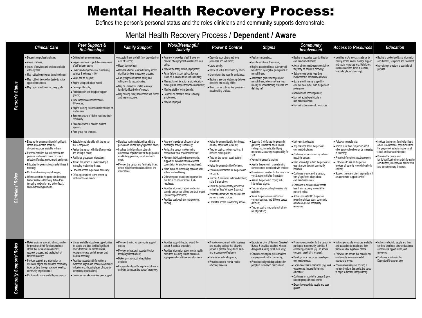Defines the person's personal status and the roles clinicians and community supports demonstrate.

## Mental Health Recovery Process / **Dependent / Aware**

|                                        | <b>Clinical Care</b>                                                                                                                                                                                                                                                                                                                                                                                                                                                                                                                  | <b>Peer Support &amp;<br/>Relationships</b>                                                                                                                                                                                                                                                                                                                                                                                                                                                                                                                                                                  | <b>Family Support</b>                                                                                                                                                                                                                                                                                                                                                                                                         | Work/Meaningful<br>Activity                                                                                                                                                                                                                                                                                                                                                                                                                                                                                                                                                                                                                       | <b>Power &amp; Control</b>                                                                                                                                                                                                                                                                                                                                                                                                                                                                                                                                                    | <b>Stigma</b>                                                                                                                                                                                                                                                                                                                                                                                                                                                                                                                                                                                                                                                               | <b>Community</b><br><b>Involvement</b>                                                                                                                                                                                                                                                                                                                                                                                                                                                                                                                               | <b>Access to Resources</b>                                                                                                                                                                                                                                                                                                                              | <b>Education</b>                                                                                                                                                                                                                                                                                                       |
|----------------------------------------|---------------------------------------------------------------------------------------------------------------------------------------------------------------------------------------------------------------------------------------------------------------------------------------------------------------------------------------------------------------------------------------------------------------------------------------------------------------------------------------------------------------------------------------|--------------------------------------------------------------------------------------------------------------------------------------------------------------------------------------------------------------------------------------------------------------------------------------------------------------------------------------------------------------------------------------------------------------------------------------------------------------------------------------------------------------------------------------------------------------------------------------------------------------|-------------------------------------------------------------------------------------------------------------------------------------------------------------------------------------------------------------------------------------------------------------------------------------------------------------------------------------------------------------------------------------------------------------------------------|---------------------------------------------------------------------------------------------------------------------------------------------------------------------------------------------------------------------------------------------------------------------------------------------------------------------------------------------------------------------------------------------------------------------------------------------------------------------------------------------------------------------------------------------------------------------------------------------------------------------------------------------------|-------------------------------------------------------------------------------------------------------------------------------------------------------------------------------------------------------------------------------------------------------------------------------------------------------------------------------------------------------------------------------------------------------------------------------------------------------------------------------------------------------------------------------------------------------------------------------|-----------------------------------------------------------------------------------------------------------------------------------------------------------------------------------------------------------------------------------------------------------------------------------------------------------------------------------------------------------------------------------------------------------------------------------------------------------------------------------------------------------------------------------------------------------------------------------------------------------------------------------------------------------------------------|----------------------------------------------------------------------------------------------------------------------------------------------------------------------------------------------------------------------------------------------------------------------------------------------------------------------------------------------------------------------------------------------------------------------------------------------------------------------------------------------------------------------------------------------------------------------|---------------------------------------------------------------------------------------------------------------------------------------------------------------------------------------------------------------------------------------------------------------------------------------------------------------------------------------------------------|------------------------------------------------------------------------------------------------------------------------------------------------------------------------------------------------------------------------------------------------------------------------------------------------------------------------|
| <b>Status</b><br>Person's              | · Depends on professional care;<br>• Aware of illness:<br>• Aware of services and choices available<br>within system;<br>· May not feel empowered to make choices;<br>• May not be interested or desire to make<br>appropriate choices;<br>. May begin to set basic recovery goals.                                                                                                                                                                                                                                                   | · Defines his/her unique needs;<br>• Regains sense of hope & becomes aware<br>of self-esteem issues;<br>• Understands importance of maintaining<br>balance & wellness in life:<br>· Views self as 'subject';<br>· Begins using self-reliant model;<br>· Develops life skills;<br>• Participates in self-help/peer support<br>groups;<br>• New supports accept individual's<br>differences:<br>• Begins learning to develop relationships on<br>his/her own:<br><b>Becomes aware of his/her relationships in</b><br>community;<br>• Becomes aware of need to monitor<br>systems;<br>• Peer group has changed. | · Accepts illness and still fairly dependent on<br>a lot of support;<br>• Ready to seek help:<br>· Decides whether to include family and/or<br>significant others in recovery process;<br>· Family/significant others' ability and<br>willingness to support varies;<br>• May be unready or unable to accept<br>family/significant others' support;<br>. May develop family relationship with friends<br>and peer supporters. | • Aware of knowledge of self & aware of<br>benefits of employment as related to well-<br>being:<br>. May not be ready to find employment;<br>Fears failure, lack of self-confidence.<br>insecure, & unable to be self-sustaining;<br>May not have interaction and/or decision-<br>making skills needed for work environment;<br>. May be afraid of losing benefits;<br>Depends on others to assist in finding<br>employment;<br>• May be employed.                                                                                                                                                                                                | • Depends upon others and feels<br>powerless and victimized;<br>• Lacks identity;<br>· Sense of self is determined by others;<br>• Understands the need for assistance:<br>· Begins to see the relationship betweer<br>decisions and quality of life;<br>Sees choices but may feel powerless<br>about making choices.                                                                                                                                                                                                                                                         | · Feels misunderstood:<br>• May be emotional & sensitive;<br>· Begins accepting illness but many still<br>be affected by negative perceptions of<br>mental illness:<br>Attempts to gain knowledge about<br>mental illness; relies on others (e.g.<br>media) for understanding of illness and<br>defining self.                                                                                                                                                                                                                                                                                                                                                              | · Begins to recognise opportunities for<br>community involvement;<br>Aware of community resources & how<br>they may be helpful to recovery;<br>• Sets personal goals regarding<br>involvement in community activities;<br>Goals are still mainly shaped by<br>external ideal rather than the person's<br>preference;<br>· Needs lots of encouragement;<br>• May not actively participate in<br>community activities;<br>• May not obtain access to resources.                                                                                                        | Identifies and/or seeks assistance to<br>identify, locate, and/or manage support<br>and social resources (e.g. Help Lines,<br>outreach services, Drop-In Centres,<br>hospitals, places of worship).                                                                                                                                                     | · Begins to understand basic information<br>about illness, symptoms and treatment;<br>May attempt or return to educational<br>pursuits.                                                                                                                                                                                |
| Clinicians' Roles                      | · Ensures the person and family/significant<br>others are educated about the<br>choices/resources available to them:<br>• Provides activities that will increase the<br>person's readiness to make choices in<br>selecting life roles, environment, and goals;<br>· Educates the person about mental illness &<br>recovery;<br>• Continues hope-inspiring strategies;<br>• Offers support to the person in designing<br>his/her Wellness Recovery Action Plan<br>(including medication and side effects),<br>and Advanced Agreements. | • Establishes relationship with the person<br>that is reciprocal;<br>• Assists the person with identifying needs<br>and linking to peers;<br>• Facilitates group/peer interactions;<br>Assists the person in understanding &<br>managing relationship issues;<br>· Provides access to personal advocacy;<br>· Offers opportunities to the person to<br>venture into community.                                                                                                                                                                                                                               | · Develops trusting relationships with the<br>person and his/her family/significant others;<br>· Involves family/significant others in<br>educational opportunities for the purpose of<br>establishing personal, social, and work<br>goals;<br>· Provides the person and family/significant<br>others with information about illness and<br>medications.                                                                      | Aware of importance of work or other<br>meaningful activity in recovery;<br>• Assists the person in determining<br>employment and/ or activity interests;<br>· Allocates individualised resources (i.e.<br>support for individual stress & benefit<br>consultation for employment readiness);<br>Make aware of relationship between work,<br>activity and well-being;<br>• Offers range of educational opportunities<br>that focus on pre-vocational & job<br>readiness:<br>Provides information about medication<br>benefits and/or side effects and their impact<br>upon work performance;<br>· Provides basic wellness management<br>training. | . Helps the person identify their hopes.<br>dreams, aspirations, & values;<br>· Teaches coping, problem-solving, &<br>decision-making skills;<br>Teaches the person about gaining<br>resources:<br>• Helps the person build self-esteem;<br>· Provides environment for the person to<br>set goals;<br>· Teaches & reinforces independent livir<br>skills & alternatives:<br>· Helps the person identify perspective<br>on his/her "loss" of power & control:<br>Presents alternatives and enables the<br>person to make choices;<br>· Facilitates access to advocacy service. | Supports & reinforces the person in<br>gathering information about illness:<br>setting appointments; identifying<br>resources & assuming responsibility for<br>self <sup>.</sup><br>• Values the person's choices;<br>• Assists the person in understanding<br>consequences associated with choices;<br>· Provides opportunities for the person t<br>vent & express his/her frustration;<br>· Assists the person in coping with<br>internalised stigma;<br>• Teaches stigma-busting behaviours &<br>activities:<br>. Views the person as an individual<br>versus diagnosis; and different versus<br>deficient:<br>• Teaches coping mechanisms that are<br>not stigmatising. | · Motivates & educates:<br>· Inspires hope about the person's<br>community inclusion;<br>• Continues to use community to learn<br>about the person;<br>Uses knowledge to help the person set<br>goals & move towards community<br>inclusion:<br>Continues to educate the person,<br>family/significant others about<br>community resources;<br>· Continues to educate about mental<br>health and recovery issues & the<br>person's rights;<br>• Acts as consultant to the person<br>regarding choices about community<br>activities & use of community<br>resources. | · Follows up on referrals;<br>Solicits input from the person about<br>other services he/she may be interested<br>in receiving;<br>· Provides information about resources;<br>. Follows up to assure the person<br>receives all benefits to which he/she is<br>entitled:<br>• Suggest the use of direct payments with<br>an appropriate support service? | • Involves the person, family/significant<br>others in educational opportunities for<br>the purpose of establishing personal,<br>social, and work/activity goals;<br>Provides the person and<br>family/significant others with information<br>about illness, medications, alternatives<br>and complementary therapies. |
| <b>Roles</b><br>Supports'<br>Community | Makes available educational opportunities<br>for people and their families/significant<br>others that focus on mental illness.<br>recovery process, and strategies that<br>facilitate recovery;<br>· Provides support and information to<br>overcome stigma and enhance community<br>inclusion (e.g. through places of worship,<br>community organisations);<br>• Continues to make available peer support.                                                                                                                           | Makes available educational opportunities<br>for people and their families/significant<br>others that focus on mental illness,<br>recovery process, and strategies that<br>facilitate recovery;<br>• Provides support and information to<br>overcome stigma and enhance community<br>inclusion (e.g. through places of worship,<br>community organisations);<br>• Continues to make available peer support.                                                                                                                                                                                                  | • Provides training via community support<br>groups;<br>· Provides educational opportunities for<br>family/significant others;<br>· Makes psycho-social rehabilitation<br>available:<br>· Engages family and/or significant others in<br>activities to support the person's recovery.                                                                                                                                         | · Provides support directed toward the<br>person & societal protection;<br>Provides information about mental health<br>resources including referral sources &<br>appropriate clinical & vocational systems.                                                                                                                                                                                                                                                                                                                                                                                                                                       | • Provides environment within business<br>and housing settings that allow the<br>person to practice newly found skills<br>and encourage self-reliance;<br>· Establishes self-help groups;<br>• Provide access to mental health<br>advocacy services.                                                                                                                                                                                                                                                                                                                          | <b>Establishes User of Services Speaker's</b><br>Bureau & provides speakers who are<br>doing well & willing to tell their story;<br>• Conducts anti-stigma public relations<br>campaigns within the community;<br>Provides destigmatising activities for<br>people in recovery to participate in.                                                                                                                                                                                                                                                                                                                                                                           | • Provides opportunities for the person to<br>participate in community activities &<br>expand opportunities (e.g. art shows,<br>concerts, street fairs, lectures);<br>· Develops local resources based upon<br>community needs;<br><b>Expands access to resources (e.g. work</b><br>experiences, leadership training,<br>education);<br>· Continues to include the person & peer<br>support groups in local events;<br><b>Expands outreach to people and user</b><br>groups.                                                                                         | · Makes appropriate resources available<br>and accessible to people and their<br>families and/or significant others;<br>• Follows up to ensure that benefits and<br>entitlements are maintained at<br>appropriate levels;<br>• Provides wide range of housing &<br>transport options that assist the person<br>to begin to function independently.      | Makes available to people and their<br>families/ significant others educational<br>experiences, opportunities, and<br>resources;<br>• Continues activities in the<br>Dependent/Unaware stage.                                                                                                                          |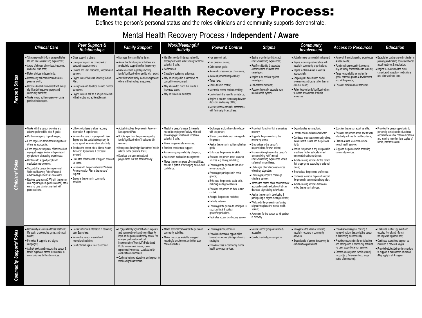Defines the person's personal status and the roles clinicians and community supports demonstrate.

## Mental Health Recovery Process / **Independent / Aware**

|                                     | <b>Clinical Care</b>                                                                                                                                                                                                                                                                                                                                                                                                                                                                                                                                                                                                                                                            | Peer Support &<br><b>Relationships</b>                                                                                                                                                                                                                                                                                                                                                                                                                                                                                  | <b>Family Support</b>                                                                                                                                                                                                                                                                                                                                                                                           | <b>Work/Meaningful</b><br><b>Activity</b>                                                                                                                                                                                                                                                                                                                                                                                              | <b>Power &amp; Control</b>                                                                                                                                                                                                                                                                                                                                                                                                                                                                                                                                                                                                                                                                                                                                | <b>Stigma</b>                                                                                                                                                                                                                                                                                                                                                                                                                                                                                                                                                                                                                                                                                                                                                                                                                   | <b>Community</b><br><b>Involvement</b>                                                                                                                                                                                                                                                                                                                                                                                                                                                                                                                                                            | <b>Access to Resources</b>                                                                                                                                                                                                                                                                                                                                  | <b>Education</b>                                                                                                                                                                                                                                                                     |
|-------------------------------------|---------------------------------------------------------------------------------------------------------------------------------------------------------------------------------------------------------------------------------------------------------------------------------------------------------------------------------------------------------------------------------------------------------------------------------------------------------------------------------------------------------------------------------------------------------------------------------------------------------------------------------------------------------------------------------|-------------------------------------------------------------------------------------------------------------------------------------------------------------------------------------------------------------------------------------------------------------------------------------------------------------------------------------------------------------------------------------------------------------------------------------------------------------------------------------------------------------------------|-----------------------------------------------------------------------------------------------------------------------------------------------------------------------------------------------------------------------------------------------------------------------------------------------------------------------------------------------------------------------------------------------------------------|----------------------------------------------------------------------------------------------------------------------------------------------------------------------------------------------------------------------------------------------------------------------------------------------------------------------------------------------------------------------------------------------------------------------------------------|-----------------------------------------------------------------------------------------------------------------------------------------------------------------------------------------------------------------------------------------------------------------------------------------------------------------------------------------------------------------------------------------------------------------------------------------------------------------------------------------------------------------------------------------------------------------------------------------------------------------------------------------------------------------------------------------------------------------------------------------------------------|---------------------------------------------------------------------------------------------------------------------------------------------------------------------------------------------------------------------------------------------------------------------------------------------------------------------------------------------------------------------------------------------------------------------------------------------------------------------------------------------------------------------------------------------------------------------------------------------------------------------------------------------------------------------------------------------------------------------------------------------------------------------------------------------------------------------------------|---------------------------------------------------------------------------------------------------------------------------------------------------------------------------------------------------------------------------------------------------------------------------------------------------------------------------------------------------------------------------------------------------------------------------------------------------------------------------------------------------------------------------------------------------------------------------------------------------|-------------------------------------------------------------------------------------------------------------------------------------------------------------------------------------------------------------------------------------------------------------------------------------------------------------------------------------------------------------|--------------------------------------------------------------------------------------------------------------------------------------------------------------------------------------------------------------------------------------------------------------------------------------|
| Person's Status                     | · Takes responsibility for managing his/her<br>life and illness/distressing experiences;<br>• Aware of choices of services, treatment.<br>and other resources:<br>• Makes choices independently;<br>· Reasonably self-confident and values<br>personal worth;<br>• Chooses level of involvement with family/<br>significant others, peer groups and<br>community activities;<br>. Works toward achieving recovery goals<br>previously developed.                                                                                                                                                                                                                                | • Gives support to others;<br>· Uses peer support as component of<br>personal support network;<br>· Obtains and uses resources, supports and<br>services;<br>· Begins to use Wellness Recovery Action<br>Plan:<br>Recognises and develops plans to monitor<br>symptoms;<br>· Begins to value self as a unique individual<br>with strengths and achievable goals.                                                                                                                                                        | • Manages illness on his/her terms;<br>• Aware that family/significant others are<br>available to support him/her in recovery;<br>• Makes decision regarding involving<br>family/significant others and to what extent<br>· Identifies which family members/significant<br>others will be involved in recovery.                                                                                                 | · Identifies needs & interests related to<br>employment while still exploring vocational<br>potential & skills;<br>Self-focused:<br>• Capable of sustaining existence;<br>May be employed in a supportive or<br>competitive environment;<br>. May take on too much that results in<br>increased stress:<br>• May be vulnerable to relapse.                                                                                             | • Has sense of self:<br>· Has personal identity;<br>• Defines own goals;<br>· Aware of consequences of decisions;<br>• Aware of personal responsibility;<br>• Takes risks:<br>• Seeks to be in control:<br>• May resist others' decision making;<br>• Understands the need for assistance:<br>• Begins to see the relationship between<br>decisions and quality of life;<br>• May experience stressful interactions<br>with family/significant others.                                                                                                                                                                                                                                                                                                    | · Begins to understand & accept<br>illness/distressing experiences;<br>Reaffirms identity & separates<br>characteristics of illness from<br>stereotypes;<br>Begins to be resilient against<br>stereotypes;<br>· Self-esteem improves;<br>▶ Focuses internally, separate from<br>mental health system.                                                                                                                                                                                                                                                                                                                                                                                                                                                                                                                           | · Actively seeks community involvement;<br>· Begins to develop relationships with<br>people in community organisations;<br>• Begins to obtain & use resources<br>appropriately;<br>• Shapes goals based upon his/her<br>preferences and ideals rather than on<br>external ideals:<br>• Relies less on family/significant others<br>to initiate involvement or obtain<br>resources.                                                                                                                                                                                                                | • Aware of illness/distressing experiences<br>& basic needs;<br>■ Functions independently & does not<br>rely on family or mental health systems<br>Takes responsibility for his/her life<br>goals, personal growth & development<br>and fulfilling needs;<br>· Educates clinician about resources.                                                          | <b>Establishes partnership with clinician in</b><br>planning and making educated choices<br>about treatment & medication;<br>Begins to understand the more<br>complicated aspects of medications<br>and other wellness tools.                                                        |
| Clinicians' Roles                   | . Works with the person to define and<br>achieve preferred life roles & goals;<br>• Continues inspiring hope strategies;<br>· Encourages input from families/significant<br>others as appropriate;<br>· Encourages development of individualised<br>coping strategies to deal with persistent<br>symptoms or distressing experiences;<br>• Continues to support people with<br>medication management;<br>• Supports the person to use personal<br>Wellness Recovery Action Plan and<br>Advanced Agreements as necessary;<br>• Reviews care plans (CPA) with the person<br>on a regular agreed (person centred) basis<br>ensuring care plan is consistent with<br>process above. | · Utilises volunteers to share recovery<br>information & experiences;<br>• Involves the person in groups with Peer<br>Supporters that participate regularly in<br>some type of recreational/social activity;<br>Teaches the person about Mental Health<br>Advanced Agreements & processes<br>involved:<br>Evaluates effectiveness of support provided<br>by peers;<br>• Reviews with the person his/her Wellness<br>Recovery Action Plan at the persons'<br>request;<br>Supports the person in community<br>activities. | • Actively involves the person in Recovery<br>Management Plan;<br>Solicits input from the person regarding<br>family/significant others' involvement in<br>recovery;<br>Recognises family/significant others' role i<br>relation to the person's illness;<br>· Develops and uses educational<br>programmes that are 'family friendly'.                                                                          | · Meets the person's needs & interests<br>related to employment/activity while still<br>encouraging exploration of vocational<br>potential & skills;<br>• Refers to appropriate resources;<br>· Provides employment support;<br>· Assures ongoing availability of support;<br>• Assists with medication management;<br>• Makes the person aware of vulnerabilities,<br>benefits & pitfalls of developing skills & self-<br>confidence. | · Exchanges and/or shares knowledge<br>with the person;<br>Shares power & decision making with<br>the person;<br>· Assists the person in achieving his/her<br>goals;<br>• Enhances the person's life skills;<br>· Educates the person about resource<br>sources (e.g. library, web links);<br>• Encourages the person to find other<br>resource people;<br>Encourages participation in social<br>groups;<br>· Enhances the person's social skills,<br>including reading social cues;<br>· Educates the person on 'how to take<br>control':<br>· Accepts the person's mistakes;<br>· Exhibits patience;<br>· Encourages the person to participate in<br>social, cultural & spiritual<br>groups/organisations.<br>· Facilitates access to advocacy service. | Provides information that emphasises<br>recovery;<br>Supports the person during the<br>recovery process;<br>Emphasises to the person's<br>responsibilities for own actions;<br>Promotes & emphasises the person's<br>focus on living "with" mental<br>illness/distressing experiences versus<br>suffering from an illness;<br>• Challenges other clinicians/services<br>when they stigmatise;<br>· Encourages people to challenge<br>clinicians services:<br>Informs the person about new treatmen<br>approaches and medications that can<br>decrease stigmatising behaviours;<br>● Assists the person in developing &<br>participating in stigma-busting activities;<br>• Works with the person in confronting<br>stigma throughout the mental health<br>system;<br>• Advocates for the person as full partner<br>in recovery. | · Expands roles as consultant;<br>· Lessens role as educator/motivator;<br>• Continues to educate community about<br>mental health issues and the persons<br>rights;<br>• Assists the person in any way possible<br>to achieve his/her self-determined<br>community involvement goals;<br>• Avoids creating services for the person<br>that shape goals according to external<br>ideals:<br>• Emphasises the person's preference;<br>• Continues to inspire hope and support<br>the person in community reintegration;<br>· Avoids creating services that do not<br>reflect the person's choices. | · Educates the person about benefits;<br>· Educates the person about how to work<br>effectively with mental health systems;<br>· Obtains & uses resources outside<br>mental health services:<br>• Supports the person while accessing<br>community services.                                                                                                | • Provides the person opportunity to<br>personally participate in educational<br>opportunities and/or obtain educational<br>and learning materials (e.g. copies of<br>books, Internet access).                                                                                       |
| Roles<br><b>Community Supports'</b> | • Community resources address treatment,<br>life goals, chosen roles, goals, and social<br>needs:<br>• Promotes & supports anti-stigma<br>campaigns;<br>• Actively seeks and supports the person &<br>family/ significant others' involvement in<br>community mental health services.                                                                                                                                                                                                                                                                                                                                                                                           | • Recruit individuals interested in becoming<br>peer Supporters;<br>· Involve the person in social and<br>recreational activities;<br>• Conduct meetings of Peer Supporters.                                                                                                                                                                                                                                                                                                                                            | • Engages family/significant others in policy<br>and planning boards and committees for<br>input on the person and family issues. For<br>example participation in local<br>implementation Team (LIT), Patient and<br>Public Involvement forums, carers<br>representative groups, Local Authority<br>consultation networks etc<br>• Continue training, education, and support to<br>families/significant others. | • Makes accommodations for the person in<br>community activities;<br>• Makes resources available to support<br>meaningful employment and other user-<br>chosen activities.                                                                                                                                                                                                                                                             | · Encourages independence;<br>· Provides educational opportunities<br>focused on recovery & stigma-busting<br>strategies;<br>· Provide access to community mental<br>health advocacy services.                                                                                                                                                                                                                                                                                                                                                                                                                                                                                                                                                            | · Makes support groups available &<br>accessible;<br>• Conducts anti-stigma campaigns.                                                                                                                                                                                                                                                                                                                                                                                                                                                                                                                                                                                                                                                                                                                                          | · Recognises the value of involving<br>people in recovery in community<br>activities:<br>• Expands role of people in recovery in<br>community organisations.                                                                                                                                                                                                                                                                                                                                                                                                                                      | • Provides wide range of housing &<br>transport options that assist the person<br>in functioning independently;<br>Provides opportunities for socialisation<br>and participation in community activities<br>via peer support/user-run services;<br>· Creates cross-system (whole system)<br>support (e.g. 'one-stop shop'/ single<br>points of access etc). | • Continues to offer upgraded and<br>updated formal and informal<br>training/work opportunities;<br>Continues educational support as<br>identified in previous stages;<br>Provide buddies /befrienders/mentors<br>to support in mainstream education<br>(May apply to all 4 stages). |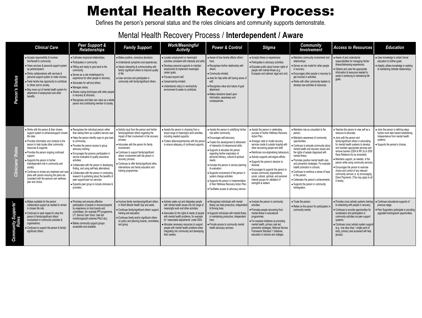Defines the person's personal status and the roles clinicians and community supports demonstrate.

## Mental Health Recovery Process / **Interdependent / Aware**

|                              | <b>Clinical Care</b>                                                                                                                                                                                                                                                                                                                                                                                                                                                                                                         | <b>Peer Support &amp;</b><br>Relationships                                                                                                                                                                                                                                                                                                                                                                                                                                                                                                                                                                                | <b>Family Support</b>                                                                                                                                                                                                                                                                                                                                                                                                                        | <b>Work/Meaningful</b><br><b>Activity</b>                                                                                                                                                                                                                                                                                                                                                                                    | <b>Power &amp; Control</b>                                                                                                                                                                                                                                                                                                                                                                                                                                                                                                                                                             | <b>Stigma</b>                                                                                                                                                                                                                                                                                                                                                                                                                                                                                                                                  | <b>Community</b><br><b>Involvement</b>                                                                                                                                                                                                                                                                                                                                                                                                                                                                                                | <b>Access to Resources</b>                                                                                                                                                                                                                                                                                                                                                                                                                                                                                                                                        | <b>Education</b>                                                                                                                                            |
|------------------------------|------------------------------------------------------------------------------------------------------------------------------------------------------------------------------------------------------------------------------------------------------------------------------------------------------------------------------------------------------------------------------------------------------------------------------------------------------------------------------------------------------------------------------|---------------------------------------------------------------------------------------------------------------------------------------------------------------------------------------------------------------------------------------------------------------------------------------------------------------------------------------------------------------------------------------------------------------------------------------------------------------------------------------------------------------------------------------------------------------------------------------------------------------------------|----------------------------------------------------------------------------------------------------------------------------------------------------------------------------------------------------------------------------------------------------------------------------------------------------------------------------------------------------------------------------------------------------------------------------------------------|------------------------------------------------------------------------------------------------------------------------------------------------------------------------------------------------------------------------------------------------------------------------------------------------------------------------------------------------------------------------------------------------------------------------------|----------------------------------------------------------------------------------------------------------------------------------------------------------------------------------------------------------------------------------------------------------------------------------------------------------------------------------------------------------------------------------------------------------------------------------------------------------------------------------------------------------------------------------------------------------------------------------------|------------------------------------------------------------------------------------------------------------------------------------------------------------------------------------------------------------------------------------------------------------------------------------------------------------------------------------------------------------------------------------------------------------------------------------------------------------------------------------------------------------------------------------------------|---------------------------------------------------------------------------------------------------------------------------------------------------------------------------------------------------------------------------------------------------------------------------------------------------------------------------------------------------------------------------------------------------------------------------------------------------------------------------------------------------------------------------------------|-------------------------------------------------------------------------------------------------------------------------------------------------------------------------------------------------------------------------------------------------------------------------------------------------------------------------------------------------------------------------------------------------------------------------------------------------------------------------------------------------------------------------------------------------------------------|-------------------------------------------------------------------------------------------------------------------------------------------------------------|
| Person's Status              | Accepts responsibility & involves<br>him/herself in community;<br>• Views services & personal support system<br>as partners/peers;<br>• Works collaboratively with services &<br>personal support system to make choices;<br>- Feels he/she has opportunity to contribute<br>to others and to society;<br>May move out of mental health system for<br>attainment of employment and other<br>benefits.                                                                                                                        | · Cultivates reciprocal relationships;<br>• Participates in community:<br>. Willing and ready to give back to the<br>community:<br>Serves as a role model/expert by<br>experience for other people in recovery;<br>. Advocates for self and others:<br>• Manages stress;<br>• Shares coping techniques with other people<br>in recovery & clinicians;<br>· Recognises and feels own value as a whole<br>person and contributing member of society.                                                                                                                                                                        | · Makes positive, conscious decisions;<br>· Understands symptoms and experiences<br>• Values interacting & communicating with<br>family/ significant others to improve quality<br>of life:<br>• Uses services and participates in<br>community with family/significant others.                                                                                                                                                               | • Locates employment or meaningful<br>activities consistent with interests and skills<br>Develops personal supports to maintain<br>employment & implement meaningful<br>career goals;<br>· Focuses beyond self;<br>Career/activity-minded;<br>· Understands role(s) in work/activity<br>environment & seeks to contribute.                                                                                                   | • Aware of how he/she affects others'<br>lives:<br>Recognises his/her relationship with<br>others:<br>Community-minded;<br>• Asks for help while still having sense of<br>self <sup>-</sup><br>Recognises value and nature of goal<br>attainment:<br>Makes decisions based upon<br>information, awareness and<br>consequences.                                                                                                                                                                                                                                                         | Accepts illness or experiences:<br>· Participates in advocacy activities;<br>Educates public about human rights of<br>people with mental illness (e.g.<br>European and national, legal and civil)                                                                                                                                                                                                                                                                                                                                              | · Maintains community involvement and<br>relationships:<br>Serves as role model for other people<br>in recovery:<br>Encourages other people in recovery to<br>get involved in activities:<br>· Works with other community leaders to<br>develop new activities & resources.                                                                                                                                                                                                                                                           | • Aware of and understands<br>responsibilities for managing his/her<br>illness/distressing experiences;<br>Obtains and uses the appropriate<br>information & resources needed to<br>assist in achieving & maintaining life<br>goals.                                                                                                                                                                                                                                                                                                                              | • Uses knowledge to obtain formal<br>education to further goals;<br>Adeptly utilises knowledge in seeking<br>& maintaining intimate relationships.          |
| Clinicians' Roles            | • Works with the person & their chosen<br>support system to enhance/support chosen<br>life roles:<br>• Provides information and contacts to the<br>person to help locate other community<br>resources & supports;<br>• Provides the person ongoing continued<br>support;<br>• Supports the person in his/her<br>interdependent role in community and<br>society:<br>• Continues to review any treatment and care<br>plans with person ensuring the plans are<br>consistent with the persons own wellness<br>plan and choice. | • Recognises the individual person rather<br>than seeing them as a patient /service user<br>. Helps the person identify ways to give back<br>to community:<br>• Provides the person access to group<br>advocacy training;<br>Encourages the persons participation in<br>service evaluation & quality assurance<br>activities:<br>• Collaborates with the person in developing<br>finding, and using self-help alternatives:<br>• Collaborates with the person in conducting<br>research & publishing about the benefits of<br>peer support/user-run services;<br>Expands peer group to include clinicians &<br>providers. | · Solicits input from the person and his/her<br>family/significant others regarding the<br>impact of their involvement in the recovery<br>process;<br>• Advocates with the person for family<br>involvement:<br>• Continues to support family/significant<br>others' involvement with the person in<br>recovery process;<br>· Continues to offer family/significant other,<br>interventions and family education and<br>training programmes. | Assists the person in choosing from a<br>broad range of meaningful work activities,<br>including needed supports;<br>• Fosters alliance/partnership with the persor<br>to ensure adequacy of continued supports.                                                                                                                                                                                                             | · Assists the person in solidifying his/her<br>role within community;<br>· Encourages self-advocacy;<br>· Fosters the development & refinement<br>of interaction & interpersonal skills;<br>Supports & educates the person<br>regarding his/her exploration of<br>personal intimacy, cultural & spiritual<br>needs:<br>Includes the person in service planning<br>& evaluation:<br>Supports involvement of the person in<br>system change activities;<br>Supports the person in implementation<br>of their Wellness Recovery Action Plan;<br>· Facilitates access to advocacy service. | Assists the person in celebrating<br>success of his/her Wellness Recovery<br>Action Plan:<br>Arranges visits to model recovery<br>services inside & outside hospital with<br>other recovering people and staff;<br>• Reinforces non-stigmatising behaviours<br>• Actively supports anti-stigma efforts;<br>• Supports the person's decision to<br>disclose:<br>Encourages & supports the person to<br>access community organisations,<br>social, cultural, spiritual, and personal<br>interest groups for validation of<br>strengths & esteem. | • Maintains role as consultant to the<br>person:<br>• Maintains awareness of community<br>opportunities;<br>Continues to educate community about<br>mental health and recovery issues and<br>the rights of people diagnosed with<br>mental illness:<br>· Promotes positive mental health care<br>and prevention strategies. For example<br>health promotion in schools:<br>• Continues to reinforce a sense of hope<br>in the person;<br>• Celebrates the person's achievements<br>Supports the person in community<br>reintegration. | • Teaches the person to view self as a<br>resource & advocate:<br>Joins with the person and<br>family/significant others in advocating<br>for mental health systems to develop<br>and maintain appropriate services and<br>remove barriers (DDA & RR (A) A 2000<br>Race Relations Act as amended);<br>Maintains support, as needed, of the<br>person while using community services;<br>Encourages the person to exercise<br>choice and control of any relevant<br>community service i.e. by encouraging<br>Direct Payments. (This may apply to all<br>4 levels). | Joins the person in defining steps<br>he/she must take toward establishing<br>independence from mental health<br>systems:<br>Supports the person's choices. |
| Community Supports'<br>Roles | Makes available for the person<br>collaborative support as needed to remain<br>in chosen life role:<br>Continues to seek respect & value the<br>person & family/significant others'<br>involvement in community activities &<br>organisations:<br>Continues to support the person & family/<br>significant others.                                                                                                                                                                                                           | • Promotes and ensures effective<br>participation of people in recovery/experts<br>by experience on trust boards and<br>committees; (for example PPI programme<br>LIT. Service User Voice, User led<br>monitoring/audit schemes PALS etc);<br>• Makes community support groups<br>accessible and available                                                                                                                                                                                                                                                                                                                | . Involves family members/significant others<br>in World Mental Health Day and week;<br>• Continues family/significant others' support<br>training and education:<br>Continues family and/or significant others<br>on policy and planning boards, committees<br>and group.                                                                                                                                                                   | Actively seeks out and integrates people<br>with mental health issues into full range of<br>meaningful work and other activities:<br>Advocates for the rights & needs of people<br>with mental health problems, for example<br>for "reasonable adjustments' under DDA;<br>Allocates necessary resources to support<br>people with mental health problems when<br>integrating into community and developing<br>their careers. | Recognises individuals with mental<br>illness can lead productive, independent<br>& thriving lives:<br>Supports individuals with mental illness<br>in maintaining productive, independent<br>lives:<br>Provide access to community mental<br>health advocacy services.                                                                                                                                                                                                                                                                                                                 | • Involves the person in community<br>activities:<br>Promotes people recovering from<br>mental illness in educational<br>programmes;<br>• For example initiatives at promoting<br>mental health, primary care led<br>prevention strategies, National Service<br>Framework Standard 1 initiatives.<br>education in schools and colleges.                                                                                                                                                                                                        | • Trusts the person;<br>· Relies on the person for participation in<br>community events.                                                                                                                                                                                                                                                                                                                                                                                                                                              | · Provides cross (whole) systems training<br>& networking with people in recovery;<br>• Continues to provide opportunities for<br>socialisation and participation in<br>community activities via peer support<br>systems;<br>• Continues cross (whole) system support<br>(e.g. 'one stop shop' / single point of<br>entry, primary care accessed self help<br>groups).                                                                                                                                                                                            | Continues educational supports of<br>previous stage;<br>Peer Supporters participate in providing<br>upgraded training/work opportunities.                   |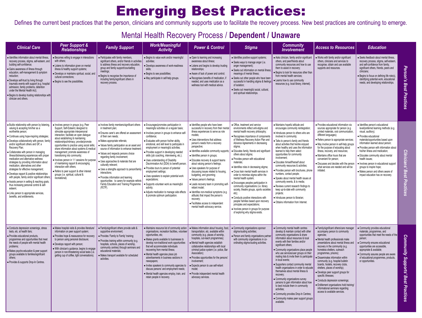Defines the current best practices that the person, clinicians and community supports use to facilitate the recovery process. New best practices are continuing to emerge.

## Mental Health Recovery Process / **Dependent / Unaware**

| <b>Clinical Care</b>                                                                                                                                                                                                                                                                                                                                                                                                                                                                                                                                                                                                                                                                                                                                                                                       | <b>Peer Support &amp; Relationships</b>                                                                                                                                                                                                                                                                                                                                                                                                                                                                                                                                                                                                     | <b>Family Support</b>                                                                                                                                                                                                                                                                                                                                                                                                                                                                                                                                                                                                              | Work/Meaningful<br><b>Activity</b>                                                                                                                                                                                                                                                                                                                                                                                                                                                                                                                                                                                                                                                                                                           | <b>Power &amp; Control</b>                                                                                                                                                                                                                                                                                                                                                                                                                                                                                                                                                                                                                                                                                                                                  | <b>Stigma</b>                                                                                                                                                                                                                                                                                                                                                                                                                                                                                                                                                                                                                                                                                                                                                                                                                                                     | <b>Community</b><br><b>Involvement</b>                                                                                                                                                                                                                                                                                                                                                                                                                                                                                                                                                                                                                                                                                                               | <b>Access to Resources</b>                                                                                                                                                                                                                                                                                                                                                                                                                                                                                                                                                                                                            | <b>Education</b>                                                                                                                                                                                                                                                                                                                                                                                                                                                                             |                                             |
|------------------------------------------------------------------------------------------------------------------------------------------------------------------------------------------------------------------------------------------------------------------------------------------------------------------------------------------------------------------------------------------------------------------------------------------------------------------------------------------------------------------------------------------------------------------------------------------------------------------------------------------------------------------------------------------------------------------------------------------------------------------------------------------------------------|---------------------------------------------------------------------------------------------------------------------------------------------------------------------------------------------------------------------------------------------------------------------------------------------------------------------------------------------------------------------------------------------------------------------------------------------------------------------------------------------------------------------------------------------------------------------------------------------------------------------------------------------|------------------------------------------------------------------------------------------------------------------------------------------------------------------------------------------------------------------------------------------------------------------------------------------------------------------------------------------------------------------------------------------------------------------------------------------------------------------------------------------------------------------------------------------------------------------------------------------------------------------------------------|----------------------------------------------------------------------------------------------------------------------------------------------------------------------------------------------------------------------------------------------------------------------------------------------------------------------------------------------------------------------------------------------------------------------------------------------------------------------------------------------------------------------------------------------------------------------------------------------------------------------------------------------------------------------------------------------------------------------------------------------|-------------------------------------------------------------------------------------------------------------------------------------------------------------------------------------------------------------------------------------------------------------------------------------------------------------------------------------------------------------------------------------------------------------------------------------------------------------------------------------------------------------------------------------------------------------------------------------------------------------------------------------------------------------------------------------------------------------------------------------------------------------|-------------------------------------------------------------------------------------------------------------------------------------------------------------------------------------------------------------------------------------------------------------------------------------------------------------------------------------------------------------------------------------------------------------------------------------------------------------------------------------------------------------------------------------------------------------------------------------------------------------------------------------------------------------------------------------------------------------------------------------------------------------------------------------------------------------------------------------------------------------------|------------------------------------------------------------------------------------------------------------------------------------------------------------------------------------------------------------------------------------------------------------------------------------------------------------------------------------------------------------------------------------------------------------------------------------------------------------------------------------------------------------------------------------------------------------------------------------------------------------------------------------------------------------------------------------------------------------------------------------------------------|---------------------------------------------------------------------------------------------------------------------------------------------------------------------------------------------------------------------------------------------------------------------------------------------------------------------------------------------------------------------------------------------------------------------------------------------------------------------------------------------------------------------------------------------------------------------------------------------------------------------------------------|----------------------------------------------------------------------------------------------------------------------------------------------------------------------------------------------------------------------------------------------------------------------------------------------------------------------------------------------------------------------------------------------------------------------------------------------------------------------------------------------|---------------------------------------------|
| · Identifies information about mental illness.<br>recovery process, stigma, self-esteem, and<br>building self-confidence;<br>Gains awareness of illness through<br>education, self-management & symptom<br>reduction:<br>Develops self-trust by living through<br>traumatic events with support (e.g. hospital<br>admission, family problems, detention<br>under the Mental Health Act);<br>· Begins to develop trusting relationships with<br>clinician and others.                                                                                                                                                                                                                                                                                                                                       | · Becomes willing to engage in interactions<br>with others:<br>• Listens to information given on mental<br>illness & healthy support systems;<br>· Develops or maintains spiritual, social, and<br>cultural connections:<br>· Begins to see the possibilities.                                                                                                                                                                                                                                                                                                                                                                              | • Participates with family members,<br>significant others, and/or friends in activities<br>to address illness and recovery education,<br>group and family support/counselling<br>meetings;<br>• Begins to recognise the importance of<br>including family/significant others in<br>recovery process.                                                                                                                                                                                                                                                                                                                               | · Begins to value work and/or meaningful<br>activities:<br>Develops awareness of work-readiness<br>skills:<br>· Begins to see possibilities;<br>• May participate in self-help groups.                                                                                                                                                                                                                                                                                                                                                                                                                                                                                                                                                       | • Open to learning and increasing<br>awareness about illness:<br>• Listens and begins to develop trusting<br>relationships;<br>• Aware of lack of power and control;<br>· Recognises benefits of medication, if<br>needed, and uses medication as a<br>wellness tool with medical advice.                                                                                                                                                                                                                                                                                                                                                                                                                                                                   | · Identifies positive support systems;<br>· Seeks ways to manage anger (i.e.<br>anger management);<br>· Seeks out information on mental illness<br>meanings of mental illness;<br>Seeks out other people who have been<br>successful in handling stigma & feelings<br>of isolation:<br>· Seeks out meaningful social, cultural,<br>and spiritual relationships.                                                                                                                                                                                                                                                                                                                                                                                                                                                                                                   | • Asks clinician, family and/or significant<br>others, and peer/friends about<br>community resources and how to use<br>them to assist in recovery;<br>· Begins to look for resources other than<br>from mental health services;<br>• Learns how to use community<br>resources (e.g. local library, internet).                                                                                                                                                                                                                                                                                                                                                                                                                                        | . Works with family and/or significant<br>others, clinicians and services to<br>recognise, obtain and use available<br>supports and resources.                                                                                                                                                                                                                                                                                                                                                                                                                                                                                        | • Seeks feedback about mental illness.<br>recovery process, stigma, self-esteem,<br>and self-confidence from family,<br>significant others, friends, peers and<br>clinicians:<br>• Begins to focus on defining life role(s).<br>identifying potential work, educational<br>needs, and developing relationships.                                                                                                                                                                              | Person's<br><b>Best Practices</b>           |
| • Builds relationship with person by listening.<br>valuing & accepting him/her as a<br>worthwhile person;<br>Continues using hope-inspiring strategies;<br>· Develops collaboratively with person, family<br>and/or significant others and GP, a<br>Recovery Plan;<br>Collaborates with person in managing<br>illness/distressing experiences with proper<br>medication and alternative wellness<br>strategies by providing information about<br>medication, alternatives and other<br>strategies for effective management;<br>Develops rapport & positive relationships<br>with people, family and/or significant others;<br>Assists person in setting & reaching goals,<br>thus increasing personal control & self-<br>esteem:<br>· Links person to appropriate services,<br>benefits, and entitlements. | • Involves person in groups (e.g. Peer<br>Support, Self-Esteem) designed to:<br>stimulate appropriate interpersonal<br>interaction; facilitate an open dialogue<br>about establishing & maintaining<br>relationships/intimacy; provide/promote<br>opportunities to practice using social skills<br>share information about systems & medical<br>management; promote awareness of<br>transitioning into community:<br>· Involves person in 1:1 sessions for purpose<br>of maintaining rapport & encouraging<br>interaction with others:<br>• Refers to peer support & other interest<br>groups (i.e. spiritual, cultural &<br>recreational). | . Involves family members/significant others<br>in treatment plan:<br>· Ensures carer's are offered an assessment<br>of their own needs:<br>• Makes appropriate referrals;<br>· Values family participation as an asset and<br>source of information to enhance treatment;<br>• Values and respects persons choice<br>regarding family involvement;<br>. Uses approaches & materials that are<br>culturally relevant;<br>• Uses a strengths approach to person/family<br>interactions:<br>· Provides information and learning<br>opportunities to carers for example rethink<br>Family Education and Training Programme<br>(FETP). | • Encourages/promotes participation in<br>meaningful activities on a regular basis;<br>· Involves person in groups to enhance self-<br>confidence:<br>Evaluates with person his/her ability,<br>emotional, and skill level to participate in<br>employment or meaningful activities;<br>· Provides support in developing needed<br>skills (job coaching, interviewing, etc.);<br>· Uses understanding of Disability<br>Discrimination Act (DDA) to benefit person;<br>· Provides tours to person of potential<br>employment settings;<br>• Uses speakers to explain potential work<br>expectations;<br>Supports volunteer work as meaningful<br>activity;<br>• Adjusts medication to manage side effects<br>& promote optimum participation. | · Identifies people who have been<br>successful in recovery from their mental<br>illness experiences to serve as role<br>models:<br>Uses interventions that address<br>person's needs from a recovery<br>perspective;<br>· Identifies available community supports<br>· Identifies person in groups;<br>· Educates recovery & support teams<br>about valuing person's feelings;<br>· Uses speakers for purpose of<br>discussing issues related to housing.<br>budgeting, and grooming;<br>· Values person's feelings;<br>• Leads recovery team in promoting self-<br>reliant model:<br>· Identifies non-medical symptoms (e.g.<br>attitude) that impact the person's<br>recovery;<br>• Facilitates access to independent<br>mental health advocacy service. | • Office, treatment and service<br>environments reflect anti-stigma and<br>mental health recovery philosophy;<br>· Recognises importance of components<br>of Wellness Recovery Action Plan and<br>Advance Agreements in decreasing<br>stigma;<br>· Educates family, friends and significant<br>others about stigma;<br>• Provides person with educational<br>materials:<br>· Identifies roles in decreasing stigma;<br>• Cross train mental health services in<br>order to minimise stigma within the<br>mental health system;<br>Encourages peoples participation in<br>community organisations (i.e. library<br>society, theatre groups, sports societies<br>etc):<br>Conducts positive interactions with<br>people/ families based upon recovery<br>principles and expectations;<br>· Involves person in groups for purpose<br>of exploring why stigma exists. | • Maintains hopeful attitude and<br>encourages community reintegration;<br>• Introduces person to others who are<br>involved in community;<br>• Talks to person's family and friends<br>about activities that he/she enjoyed<br>when healthy and uses the information<br>learned to help them select<br>opportunities for community<br>involvement:<br>· Educates himself/herself about<br>community resources & activities;<br>• Provides person with brochures, phone<br>numbers, contact people;<br>• Speaks about mental health issues at<br>community events, & to media;<br>• Reviews current research findings to<br>keep up-to-date with community<br>projects;<br>• Introduces person to librarian;<br>· Obtains information from Internet. | • Provides educational information via<br>sources appropriate for person (e.g.<br>printed materials, oral communication,<br>different languages);<br>· Refers person to appropriate services;<br>· May involve person in self-help groups<br>for the purpose of educating about<br>illness, recovery, and resources;<br>• Maintains office hours that are<br>convenient for person;<br>· Discusses and decides with the persor<br>what services are needed and will be<br>initiated.                                                                                                                                                  | · Identifies person's educational<br>level/preferred learning methods (e.g.<br>visual, auditory);<br>• Provides educational<br>materials/opportunities based upon<br>information learned about person:<br>• Provides person with information about<br>his/her illness and medication;<br>· Educates community about mental<br>health issues:<br>Involves person in educational support<br>groups to inspire hope:<br>• Makes person and others aware of<br>impact education has on recovery. | <b>Clinicians'</b><br><b>Best Practices</b> |
| • Conducts depression screenings, stress<br>tests, etc. at health fairs;<br>• Provides educational products,<br>programmes and opportunities that meet<br>the needs of people with mental health<br>problems;<br>Makes psycho-education & peer support<br>groups available to families/significant<br>others;<br>• Provides & supports Drop-In Centres.                                                                                                                                                                                                                                                                                                                                                                                                                                                    | • Makes hospital visits & provides literature/<br>information on peer support system;<br>· Provides hope & reassurance for recovery<br>to person using personal disclosure;<br>• Develops rapport with person;<br>• With clinician's guidance, begins to engage<br>person in non-threatening social tasks (i.e.<br>getting cup of coffee, light conversations).                                                                                                                                                                                                                                                                             | • Family/significant others provide safe &<br>supportive environment;<br>· Provides 'Family to Family' training;<br>• Provides training within community (e.g.<br>hospitals, schools, places of worship,<br>community centres) through seminars and<br>educational materials:<br>• Makes transport available for scheduled<br>activities.                                                                                                                                                                                                                                                                                          | • Maintains resource list of community action   • Makes information about housing, food,   • Community organisations sponsor<br>organisations, recreation facilities, volunteer<br>opportunities, etc;<br>• Makes grants available to businesses to<br>develop non-traditional work opportunities<br>that will accommodate individuals<br>recovering from mental illness;<br>Mental health agencies place job<br>advertisements in business sections in<br>newspapers;<br>· Invites speakers to community agencies to<br>discuss persons' and employment needs;<br>• Mental health agencies employ, train, and<br>retain people in recovery.                                                                                                 | transportation, etc. available within<br>community (e.g. places of worship,<br>hospitals, out-reach programmes);<br>· Mental health agencies establish<br>collaborative relationships with local<br>criminal justice system (i.e. police, Bar<br>Association);<br>• Provides opportunities for the persons'<br>involvement:<br>· Expects person to use self-reliant<br>model;<br>· Provide independent mental health<br>advocacy services.                                                                                                                                                                                                                                                                                                                  | stigma-busting activities;<br>• Person and family organisations partner<br>with community organisations in co-<br>ordinating stigma-busting activities.                                                                                                                                                                                                                                                                                                                                                                                                                                                                                                                                                                                                                                                                                                           | • Community mental health centres<br>develop & maintain contact with other<br>community organisations & share<br>information about resources & local<br>events with their families and/or<br>significant others;<br>• Community organisations place people<br>who use services/user groups on their<br>mailing lists & invite them to participate<br>in local events:<br>• Supporters contact community mental<br>health organisations in order to educate<br>themselves about mental illness &<br>recovery;<br>• Community organisations survey<br>persons to gain information about how<br>to best include them in community<br>activities:<br>• Community provides Drop-In Centres;<br>• Community makes peer support groups<br>available.        | • Family/significant others/care manager<br>accompany person to community<br>agencies;<br>· Mental health professionals make<br>presentations about mental illness and<br>recovery in the community (e.g.<br>homeless shelters, outreach<br>programmes, prisons);<br>· Disseminates information within<br>community (e.g. hospital bulletin<br>boards, hostels, recovery clubs,<br>shelters, places of worship);<br>· Develops peer support groups for<br>specific illnesses;<br>· Conducts depression screenings;<br>· Entitlement organisations hold training/<br>informational seminars regarding<br>access to available services. | • Community provides educational<br>materiais, programmes, and<br>opportunities that meet the needs of the<br>person;<br>Community ensures educational<br>opportunities are accessible,<br>appropriate & available;<br>• Community assures people are aware<br>of educational programmes, products,<br>or opportunities.                                                                                                                                                                     | Community<br>Supports' Best Practices       |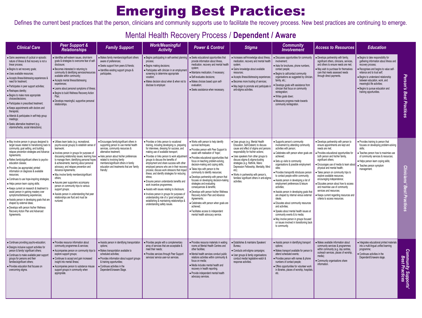Defines the current best practices that the person, clinicians and community supports use to facilitate the recovery process. New best practices are continuing to emerge.

## Mental Health Recovery Process / **Dependent / Aware**

| <b>Clinical Care</b>                                                                                                                                                                                                                                                                                                                                                                                                                                                                                                                                                                                                                                                                                                                                     | <b>Peer Support &amp; Relationships</b>                                                                                                                                                                                                                                                                                                                                                                                                                                                                                                                                                                            | <b>Family Support</b>                                                                                                                                                                                                                                                                                                         | <b>Work/Meaningful</b><br><b>Activity</b>                                                                                                                                                                                                                                                                                                                                                                                                                                                                                                                                                                                                                                                                                                                                 | <b>Power &amp; Control</b>                                                                                                                                                                                                                                                                                                                                                                                                                                                                                                                                                                                                                                                                                                 | <b>Stigma</b>                                                                                                                                                                                                                                                                                                                                                                                                         | <b>Community</b><br><b>Involvement</b>                                                                                                                                                                                                                                                                                                                                                                                                                                                                                                                                                                                                                                                                                                                        | <b>Access to Resources</b>                                                                                                                                                                                                                                                                                                                                                                                                                                                                                                                                         | <b>Education</b>                                                                                                                                                                                                                                                                                                                                |                                                       |
|----------------------------------------------------------------------------------------------------------------------------------------------------------------------------------------------------------------------------------------------------------------------------------------------------------------------------------------------------------------------------------------------------------------------------------------------------------------------------------------------------------------------------------------------------------------------------------------------------------------------------------------------------------------------------------------------------------------------------------------------------------|--------------------------------------------------------------------------------------------------------------------------------------------------------------------------------------------------------------------------------------------------------------------------------------------------------------------------------------------------------------------------------------------------------------------------------------------------------------------------------------------------------------------------------------------------------------------------------------------------------------------|-------------------------------------------------------------------------------------------------------------------------------------------------------------------------------------------------------------------------------------------------------------------------------------------------------------------------------|---------------------------------------------------------------------------------------------------------------------------------------------------------------------------------------------------------------------------------------------------------------------------------------------------------------------------------------------------------------------------------------------------------------------------------------------------------------------------------------------------------------------------------------------------------------------------------------------------------------------------------------------------------------------------------------------------------------------------------------------------------------------------|----------------------------------------------------------------------------------------------------------------------------------------------------------------------------------------------------------------------------------------------------------------------------------------------------------------------------------------------------------------------------------------------------------------------------------------------------------------------------------------------------------------------------------------------------------------------------------------------------------------------------------------------------------------------------------------------------------------------------|-----------------------------------------------------------------------------------------------------------------------------------------------------------------------------------------------------------------------------------------------------------------------------------------------------------------------------------------------------------------------------------------------------------------------|---------------------------------------------------------------------------------------------------------------------------------------------------------------------------------------------------------------------------------------------------------------------------------------------------------------------------------------------------------------------------------------------------------------------------------------------------------------------------------------------------------------------------------------------------------------------------------------------------------------------------------------------------------------------------------------------------------------------------------------------------------------|--------------------------------------------------------------------------------------------------------------------------------------------------------------------------------------------------------------------------------------------------------------------------------------------------------------------------------------------------------------------------------------------------------------------------------------------------------------------------------------------------------------------------------------------------------------------|-------------------------------------------------------------------------------------------------------------------------------------------------------------------------------------------------------------------------------------------------------------------------------------------------------------------------------------------------|-------------------------------------------------------|
| · Gains awareness of cyclical or episodic<br>nature of illness & that recovery is not a<br>linear process;<br>• Begins to set recovery goals;<br>Uses available resources:<br>• Accepts illness/distressing experiences &<br>need for treatment:<br>• Participates in peer support activities;<br>· Reshapes identity;<br>• Begins to make more appropriate<br>choices/decisions:<br>· Participates in prescribed treatment;<br>Keeps appointments with doctors and<br>therapists;<br>Attends & participates in self-help group<br>meetings;<br>Seeks alternative treatment (e.g.<br>vitamins/herbs, social interactions).                                                                                                                               | · Identifies self-esteem issues, short-term<br>goals & strategies to overcome fear of self-<br>disclosure:<br><b>•</b> Becomes interested in returning to<br>community & identifying services/resources<br>available within community;<br>• Accepts mental illness/distressing<br>experiences;<br>• Learns about personal symptoms of illness;<br>· Begins to build Wellness Recovery Action<br>Plan:<br>· Develops meaningful, supportive personal<br>relationships.                                                                                                                                              | · Makes family members/significant others<br>aware of preferences;<br>• Seeks support from peers & friends;<br>• Identifies existing support groups &<br>participates.                                                                                                                                                        | • Begins participating in self-centred planning<br>process;<br>· Begins making decisions;<br>• Participates with clinician in an employment<br>screening to determine appropriate<br>vocation;<br>• Makes decision about when & when not to<br>disclose to employer.                                                                                                                                                                                                                                                                                                                                                                                                                                                                                                      | Seeks educational opportunities that<br>provide information about illness.<br>medication, recovery and mental health<br>system;<br>· Maintains medication, if necessary;<br>• Self-evaluates decisions:<br>· Makes choices based upon self-<br>evaluation:<br>• Seeks assistance when necessarv.                                                                                                                                                                                                                                                                                                                                                                                                                           | · Increases self-knowledge about illness,<br>medication, recovery and mental health<br>system;<br>• Gains knowledge about available<br>resources:<br>• Accepts illness/distressing experiences;<br>• Becomes more trusting of services;<br>• May begin to promote and participate i<br>anti-stigma activities.                                                                                                        | • Discusses opportunities for community<br>involvement:<br>· Asks for brochures, phone numbers,<br>contact people;<br>· Begins to call/contact community<br>organisations as suggested by clinician<br>family, etc.:<br>· Develops goals with assistance from<br>clinician that focus on community<br>reintegration;<br>· Writes goals down;<br>· Measures progress made towards<br>community reintegration.                                                                                                                                                                                                                                                                                                                                                  | • Develops partnership with family,<br>significant others, clinicians, services,<br>and others to ensure needs are met;<br>• May wish to purchase for themselves<br>care that meets assessed needs<br>through direct payments.                                                                                                                                                                                                                                                                                                                                     | • Begins to take responsibility for<br>gathering information about illness and<br>recovery process;<br>Recognises and begins to value self-<br>reliance and to trust self:<br>• Begins to understand relationship<br>between education, work, and<br>meaningful life activities;<br>· Begins to pursue education and<br>training opportunities. | Person's<br>æ<br>lest<br><b>Practices</b>             |
| May involve person in groups designed to<br>target issues related to transitioning back to<br>community, goal setting, and building<br>relapse prevention strategies and Advance<br>Agreements;<br>· Refers family/significant others to psycho-<br>education classes:<br>Provides (as appropriate) printed<br>information on diagnosis & available<br>resources;<br>Continues to use hope-inspiring strategies;<br>Helps person learn coping skills;<br>Keeps current on research & treatment to<br>assist person in gaining mastery over<br>symptoms/distressing experiences;<br>Assists person in developing goals that are<br>shaped by external ideas;<br>Develops with person his/her Wellness<br>Recovery Action Plan and Advanced<br>Agreements. | · Utilises team tasks (e.g. recreational<br>psycho-social groups) to establish sense of<br>teamwork:<br>Involves person in groups for purposes of<br>discussing relationship issues: learning how<br>to manage them; identifying personal hope<br>& achievements; learning about personal<br>advocacy; and relapse prevention and<br>Advance Agreements:<br>• May involve family members/significant<br>others;<br>• Assures peer supporters accompany<br>person on community trips to various<br>support groups;<br>Assists person in understanding that peer<br>relationships are fluid and must be<br>nurtured. | • Encourages family/significant others in<br>supporting person to use mental health<br>services, community resources &<br>alternative treatment;<br>• Asks person about his/her preferences<br>related to involving family<br>members/significant others in family<br>education and treatments that are 'family<br>friendly'. | · Provides or links person to vocational<br>training, including developing cv, preparing<br>for interviews, dressing for success, and<br>making use of available transport;<br>· Provides or links person to work adjustment<br>groups to discuss the benefits of<br>employment and share success with other<br>employed persons who are in their recover<br>process; discuss work stressors that impact<br>illness; and identify strategies for reducing<br>stress:<br>· Ensures person understands benefits and<br>work incentive programmes;<br>• Assists with issues relating to disclosure;<br>• Involves person in groups for purposes of<br>understanding role of a 'good employee',<br>establishing & maintaining relationships &<br>understanding safety issues. | . Works with person to help identify<br>survival techniques;<br>· Provides person with Peer Support to<br>assist with realisation of 'hope':<br>· Provides educational opportunities that<br>focus on teaching problem-solving.<br>decision-making and coping skills;<br>• Takes trips with person to the<br>community to identify resources;<br>• Develops partnership with person that<br>focuses on developing decision-making<br>strategies and evaluating<br>consequences & benefits;<br>· Develops with person his/her Wellness<br>Recovery Action Plan and Advance<br>Agreements;<br>• Celebrates with person when goals are<br>achieved:<br>· Facilitates access to independent<br>mental health advocacy service. | · Uses groups (e.g. Mental Health<br>Education, Self-Esteem) to discuss<br>cause and effect of stigma and persons<br>responsibility for his/her actions;<br>Uses speakers from other groups to<br>discuss stigma & stigma-busting<br>strategies (e.g. Rethink, Manic<br>Depression Fellowship, Mentality, Mind<br>· Works in partnership with person's,<br>families/ significant others in anti-stigma<br>activities. | • Supports person's community<br>involvement by attending community<br>activities with person:<br>• Celebrates with person when goals are<br>achieved:<br>• Sets up visits to community<br>organisations & possible employment<br>· Provides transport& introduces person<br>to contact people within community;<br>· Assists person in developing a list of<br>employment preferences & leisure<br>activities:<br>• Assists person in developing goals that<br>are shaped by internal versus external<br>ideals:<br>· Educates about community resources<br>and activities:<br>• Speaks about mental health issues at<br>community events & to media:<br>• May involve person in groups focused<br>on issues involved in transitioning back<br>to community. | · Develops partnership with person to<br>ensure appointments are kept and<br>needs are met:<br>• Provides educational opportunities for<br>both person and his/her family.<br>significant others;<br>• Encourages use of media to learn about<br>physical and mental health;<br>· Takes person on community trips to<br>explore available resources,<br>encouraging independence;<br>· Educates person about how to access<br>and maximise use of community<br>services and resources:<br>● Keeps current regarding resources and<br>criteria to access resources. | · Provides training to person that<br>focuses on developing problem-solving<br>skills:<br>Teaches person how to maximise use<br>of community services & resources;<br>• Helps person learn coping skills;<br>• Teaches person symptom<br>management.                                                                                            | <b>Clinicians'</b><br><b>Best</b><br><b>Practices</b> |
| · Continues providing psycho-education;<br>· Designs inclusive support activities for<br>person & family/ significant others;<br>• Continues to make available peer support<br>groups for persons and their<br>families/significant others;<br>Provides education that focuses on<br>overcoming stigma.                                                                                                                                                                                                                                                                                                                                                                                                                                                  | · Provides resource information about<br>community programmes & services;<br>• Accompanies person on community trips to<br>explore support groups;<br>• Continues to accept and gain increased<br>insight into mental illness;<br>• Accompanies person to substance misuse<br>support groups in community when<br>appropriate.                                                                                                                                                                                                                                                                                     | • Assists person in identifying transportation<br>options;<br>• Makes transportation available to<br>scheduled activities:<br>· Provides information about support groups<br>& training opportunities;<br>• Continues activities in the<br>Dependent/Unaware Stage.                                                           | · Provides people with a complementary<br>array of services that are acceptable &<br>meet their needs:<br>• Provides services through Peer Support<br>services/ service user-run services.                                                                                                                                                                                                                                                                                                                                                                                                                                                                                                                                                                                | • Provides resource materials in waiting<br>rooms at Mental Health Centres and<br>other facilities:<br>• Mental health services conduct public<br>relations activities within community &<br>focus on media:<br>• Media includes mental health and<br>recovery in health reporting.<br>· Provide independent mental health<br>advocacy services.                                                                                                                                                                                                                                                                                                                                                                           | · Establishes & maintains Speakers'<br>Bureau:<br>• Conducts anti-stigma campaigns;<br>· User groups & family organisations<br>conduct media/ legislative watch &<br>response activities.                                                                                                                                                                                                                             | · Assists person in identifying transport<br>options;<br>• Makes transport available for person to<br>attend scheduled events:<br>• Provides person with names & phone<br>numbers of contact people;<br>• Offers opportunities for volunteer work<br>in libraries, places of worship, hospitals,<br>etc.                                                                                                                                                                                                                                                                                                                                                                                                                                                      | • Makes available information about<br>community services & programmes<br>within community (e.g. day centres,<br>outreach services, places of worship,<br>media):<br>• Community organisations share<br>information.                                                                                                                                                                                                                                                                                                                                               | · Integrates educational printed materials<br>into a multi-lingual unified learning<br>programme;<br>Continues activities in the<br>Dependent/Unaware stage.                                                                                                                                                                                    | Community Supports<br>Best Practices                  |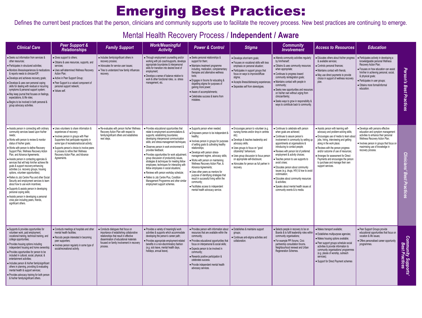Defines the current best practices that the person, clinicians and community supports use to facilitate the recovery process. New best practices are continuing to emerge.

## Mental Health Recovery Process / **Independent / Aware**

| <b>Clinical Care</b>                                                                                                                                                                                                                                                                                                                                                                                                                                                                                                                                                                                                                                                                                                                                                                                                 | <b>Peer Support &amp;<br/>Relationships</b>                                                                                                                                                                                                                                                                                                       | <b>Family Support</b>                                                                                                                                                                                                       | <b>Work/Meaningful</b><br><b>Activity</b>                                                                                                                                                                                                                                                                                                                                                                                                                                                                                                                                                                                                                                      | <b>Power &amp; Control</b>                                                                                                                                                                                                                                                                                                                                                                                                                                                                                                                                                                     | <b>Stigma</b>                                                                                                                                                                                                                                                                                                                          | <b>Community</b><br><b>Involvement</b>                                                                                                                                                                                                                                                                                                                                                                                                                                                                                                                                                      | <b>Access to Resources</b>                                                                                                                                                                                                                                                                                                                                                                                         | <b>Education</b>                                                                                                                                                                                                                                                                            |                                      |
|----------------------------------------------------------------------------------------------------------------------------------------------------------------------------------------------------------------------------------------------------------------------------------------------------------------------------------------------------------------------------------------------------------------------------------------------------------------------------------------------------------------------------------------------------------------------------------------------------------------------------------------------------------------------------------------------------------------------------------------------------------------------------------------------------------------------|---------------------------------------------------------------------------------------------------------------------------------------------------------------------------------------------------------------------------------------------------------------------------------------------------------------------------------------------------|-----------------------------------------------------------------------------------------------------------------------------------------------------------------------------------------------------------------------------|--------------------------------------------------------------------------------------------------------------------------------------------------------------------------------------------------------------------------------------------------------------------------------------------------------------------------------------------------------------------------------------------------------------------------------------------------------------------------------------------------------------------------------------------------------------------------------------------------------------------------------------------------------------------------------|------------------------------------------------------------------------------------------------------------------------------------------------------------------------------------------------------------------------------------------------------------------------------------------------------------------------------------------------------------------------------------------------------------------------------------------------------------------------------------------------------------------------------------------------------------------------------------------------|----------------------------------------------------------------------------------------------------------------------------------------------------------------------------------------------------------------------------------------------------------------------------------------------------------------------------------------|---------------------------------------------------------------------------------------------------------------------------------------------------------------------------------------------------------------------------------------------------------------------------------------------------------------------------------------------------------------------------------------------------------------------------------------------------------------------------------------------------------------------------------------------------------------------------------------------|--------------------------------------------------------------------------------------------------------------------------------------------------------------------------------------------------------------------------------------------------------------------------------------------------------------------------------------------------------------------------------------------------------------------|---------------------------------------------------------------------------------------------------------------------------------------------------------------------------------------------------------------------------------------------------------------------------------------------|--------------------------------------|
| • Seeks out information from services &<br>other resources:<br>• Participates in structured activities:<br>• Monitors illness/experiences & medications<br>& reports needs to clinician/GP;<br>• Develops and achieves recovery goals;<br>· Develops & uses own personal coping<br>skills for dealing with residual or recurring<br>symptoms & personal support system;<br>• May keep journal that focuses on feelings,<br>expectations, & life roles;<br>· Begins to be involved in both personal &<br>group advocacy activities.                                                                                                                                                                                                                                                                                   | • Gives support to others;<br>· Obtains & uses resources, supports, and<br>services:<br>· Uses self-determined Wellness Recovery<br><b>Action Plan:</b><br>• Active in Peer Support Group;<br>• Peer Support is a valued component of<br>personal support network;<br>· Values self.                                                              | • Includes family/significant others in<br>recovery process;<br>• Advocates for service user issues:<br>• Tries to understand how family influences<br>recovery.                                                            | • Through employment counselling and/or<br>working with job coach/supports, develops<br>appropriate boundaries & interpersonal<br>skills for transition into desired level of<br>employment;<br>Develops a sense of balance relative to<br>work & other functional roles, i.e. stress<br>management, etc.                                                                                                                                                                                                                                                                                                                                                                      | • Seeks personal relationships &<br>support for them;<br>· Maintains treatment programme<br>including, medication, complementary<br>therapies and alternative wellness<br>tools:<br><b>Engages in forums for educating &amp;</b><br>dispelling stigma for purposes of<br>gaining more power;<br>• Aware of accomplishments:<br>• Celebrates success & learns from<br>mistakes.                                                                                                                                                                                                                 | · Develops short-term goals;<br>• Focuses on vocational skills with less<br>emphasis on personal situation;<br>· Participates in support groups that<br>focus on ways to improve/diffuse<br>stigma;<br>• Accepts illness/distressing experiences<br>• Separates self from stereotypes.                                                 | • Attends community activities regularly<br>by him/herself:<br>• Obtains & uses community resources<br>when appropriate;<br>• Continues to progress toward<br>community reintegration goals;<br>• Maintains contact with people in<br>community:<br>• Seeks new opportunities and resources<br>on his/her own without urging from<br>clinician/family;<br>• Seeks ways to grow in responsibility &<br>ways to contribute back to community.                                                                                                                                                 | • Educates others about his/her progress<br>& available services:<br>· Controls personal finances;<br>· Maintains contact with friends;<br>• May use direct payments to provide<br>choice in support of wellness recovery<br>plan.                                                                                                                                                                                 | · Participates actively in developing a<br>knowledgeable personal Wellness<br>Recovery Action Plan;<br>Focuses on how education can assist<br>him/her in achieving personal, social,<br>& physical goals;<br>· Participates in user groups;<br>• Obtains more formal/informal<br>education. | Person's<br><b>Best Practices</b>    |
| Assists person in connecting with ordinary<br>community services based upon his/her<br>• Works with person to review & monitor<br>status of his/her goals;<br>• Works with person to define Recovery<br>Support Plan, Wellness Recovery Action<br>Plan, and Advance Agreements;<br>Assists person in contacting agencies &<br>services that will help him/her achieve life<br>goals & support recovery-enhancing<br>activities (i.e. recovery groups, housing<br>options, volunteer opportunities);<br>Refers to Job Centre Plus and other Social<br>Security and employment services to learn<br>about how to use work incentives:<br>Supports & assists person in developing<br>personal coping skills;<br>Assists person in developing a personal<br>crisis plan including peers, friends,<br>significant others. | • Uses volunteers to share information &<br>experiences of recovery;<br>• Involves person in groups with Peer<br>Supporters that participate regularly in<br>some type of recreational/social activity;<br>• Supports person's choice to involve peers<br>in process to refine their Wellness<br>Recovery Action Plan, and Advance<br>Agreements. | • Re-evaluates with person his/her Wellness<br>Recovery Action Plan with respect to<br>family/significant others and establishes<br>next steps.                                                                             | Provides educational opportunities that<br>relate to employment accommodations &<br>supports; establishing boundaries;<br>developing interpersonal communication<br>skills; and stress-management techniques;<br>• Observes person in work environment &<br>provides feedback;<br>• Provides opportunities for work adjustment<br>group discussion of productivity issues,<br>strategies & techniques for meeting fellow<br>employees; techniques for interacting with<br>fellow employees in social situations;<br>· Reviews with person workday schedule;<br>• Refers to Job Centre Plus, Condition<br>Management Programme and other similar<br>employment support schemes. | · Supports person when needed:<br><b>Empowers person to be independent &amp;</b><br>healthy:<br>· Involves person in groups for purpose<br>of setting goals & cultivating healthy<br>relationships:<br>· Develops with person stress-<br>management regime, advocacy skills;<br>· Works with person on maintaining<br>Wellness Recovery Action Plan, &<br>Advance Agreements;<br>• Uses other peers as mentors for<br>purpose of identifying strategies that<br>result in successful living within the<br>community:<br>· Facilitates access to independent<br>mental health advocacy service. | Encourages person to volunteer (e.g.<br>nursing homes and/or drop-in centres<br>Develops & teaches leadership and<br>advocacy skills;<br>Uses groups to focus on "good<br>citizenship" behaviours:<br>Uses group discussion to focus person<br>on appropriate self-disclosure;<br>Advocates for person as full partner in<br>recovery. | • Continues to celebrate with person<br>when goals are achieved;<br>• Continues to assure person's<br>involvement in community by setting up<br>appointments at organisations &<br>introducing to contact people;<br>· Reviews with person list of preferred<br>employment & activity choices;<br>• Teaches person to use supports to<br>avoid crises:<br>• Educates person about community<br>issues (e.g. drugs, HIV) & how to avoid<br>victimisation:<br>· Educates about community resources<br>& activities:<br>• Speaks about mental health issues at<br>community events & to media. | • Assists person with learning self-<br>advocacy and problem-solving skills;<br>· Encourages use of media to learn about<br>jobs, hiring, interviewing and getting<br>along in the work place;<br>• Reviews with the person progress<br>and/or outcome of use of resources:<br>• Arranges for assessment for Direct<br>Payments and encourages the person<br>to purchase and manage their own<br>support services. | • Develops with persons effective<br>education and symptom management<br>activities to enhance their personal<br>Wellness Recovery Action Plan;<br>Involves person in groups that focus on<br>maximising use of knowledge in<br>recovery process.                                           | <b>Clinicians'</b><br>Best Practices |
| • Supports & provides opportunities for<br>volunteer work, paid employment,<br>vocational training, technical training, and<br>college opportunities;<br>· Provides housing options including<br>independent housing and home ownership;<br>Provides opportunities for person to be<br>included in cultural, social, physical, &<br>entertainment activities;<br>Includes person & his/her family/significant<br>others in planning, providing & evaluating<br>mental health & support services;<br>· Provides advocacy training for both person<br>& his/her family/significant others.                                                                                                                                                                                                                             | • Conducts meetings at hospitals and other<br>mental health facilities;<br>• Recruits people interested in becoming<br>peer supporters;<br>. Involves person regularly in some type of<br>social/recreational activity.                                                                                                                           | • Conducts dialogues that focus on<br>importance of establishing collaborative<br>relationships that result in effective<br>dissemination of educational materials<br>focused on family involvement in recovery<br>process. | • Provides a variety of meaningful work<br>activities & supports which accommodate<br>developing the person's career path;<br>· Provides appropriate employment-related<br>benefits in a non-discriminatory fashion<br>(e.g. sick leave, mental health days,<br>holidays, annual leave).                                                                                                                                                                                                                                                                                                                                                                                       | • Provides person with information about<br>resources that are available within the<br>community;<br>• Provides educational opportunities that<br>focus on interpersonal & social skills;<br><b>Expects person to be involved in</b><br>community;<br>• Rewards positive participation &<br>celebrates success.<br>· Provide independent mental health<br>advocacy services.                                                                                                                                                                                                                   | • Establishes & maintains support<br>groups;<br>• Continues anti-stigma activities and<br>collaboration.                                                                                                                                                                                                                               | • Selects people in recovery to be on<br>Boards & to fulfil leadership roles within<br>community organisations;<br>• For example PPI forums. Civic<br>partnership consultation forums.<br>Neighbourhood renewal and Urban<br>Regeneration Schemes.                                                                                                                                                                                                                                                                                                                                          | • Makes transport available:<br>· Establishes multipurpose agencies;<br>· Makes housing options available;<br>· Peer support groups schedule social<br>activities & provide information to<br>community organisations/ programmes<br>(e.g. places of worship, outreach<br>services);<br>• Support for Direct Payment schemes                                                                                       | • Peer Support Groups provide<br>educational opportunities that focus on<br>vocation & life issues:<br>· Offers personalised career opportunity<br>programmes.                                                                                                                              | Community Supports<br>Best Practices |